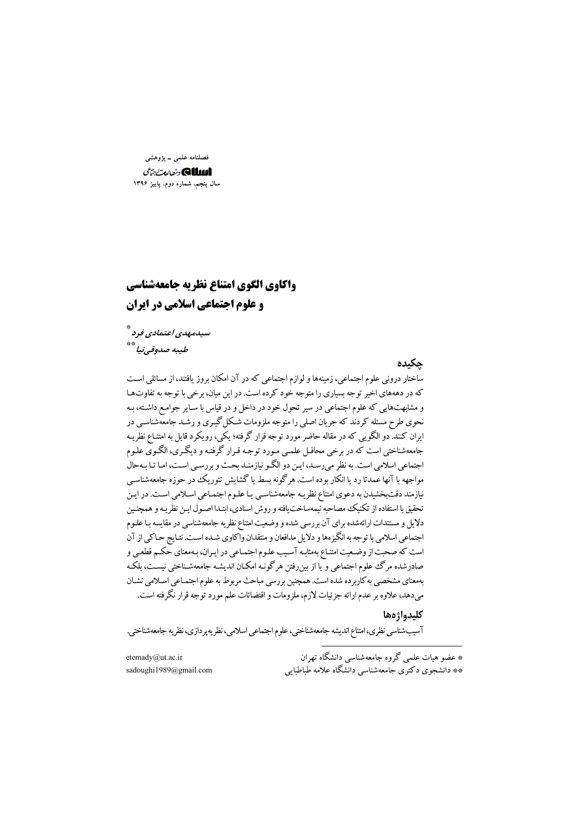فصلنامه علمی ــ پژوهشی الللك ونطالعت جمائى سال پنجم. شماره دوم. پاییز ۱۳۹۶

## واكاوي الكوى امتناع نظريه جامعهشناسي **و علوم احتماعی اسلامی در ایران**

سېدمهدي اعتمادي فرد \* طيبه صدوقي نيا \*\*

حكىدە ساختار درونی علوم اجتماعی، زمینهها و لوازم اجتماعی که در آن امکان بروز یافتند، از مسائلی است که در دهههای اخیر توجه بسیاری را متوجه خود کرده است. در این میان، برخی با توجه به تفاوتها و مشابهتهایی که علوم اجتماعی در سیر تحول خود در داخل و در قیاس با سـایر جوامـع داشـته، بـه نحوی طرح مسئله کردند که جریان اصلی را متوجه ملزومات شکل گیـری و رشـد جامعهشناسـی در ایران کنند. دو الگویی که در مقاله حاضر مورد توجه قرار گرفته؛ یکی، رویکرد قایل به امتنـاع نظریـه جامعهشناختي است كه در برخي محافـل علمـي مـورد توجـه قـرار گرفتـه و ديگـري، الگـوي علـوم اجتماعی اسلامی است. به نظر می رسـد، ایـن دو الگـو نیازمنـد بحـث و بررسـی اسـت، امـا تـا بـهحال مواجهه با آنها عمدتا رد یا انکار بوده است. هرگونه بسط یا گشایش تئوریک در حوزه جامعهشناسبی نیازمند دقتبخشیدن به دعوی امتناع نظریـه جامعهشناسـی یـا علـوم اجتمـاعی اسـلامی اسـت. در ایـن تحقیق با استفاده از تکنیک مصاحبه نیمهساخت یافته و روش اسنادی، ابتـدا اصـول ایـن نظریـه و همچنـین دلایل و مستندات ارائهشده برای آن بررسی شده و وضعیت امتناع نظریه جامعهشناسی در مقایسه بـا علـوم اجتماعي اسلامي با توجه به انگيزهها و دلايل مدافعان و منتقدان واكاوي شـده اسـت. نتـايج حـاكي از آن است که صحبت از وضعیت امتناع بهمثابه آسیب علوم اجتمـاعی در ایـران، بـهمعنای حکـم قطعـی و صادرشده مرگ علوم اجتماعی و یا از بینروفتن هرگونـه امکـان اندیشـه جامعهشـناختی نیســت، بلکـه بهمعنای مشخصی به کاربرده شده است. همچنین بررسی مباحث مربوط به علوم اجتمـاعی اسـلامی نشـان میدهد، علاوه بر عدم ارائه جزئیات لازم، ملزومات و اقتضائات علم مورد توجه قرار نگرفته است.

#### كليدواژهها

آسیبشناسی نظری، امتناع اندیشه جامعهشناختی، علوم اجتماعی اسلامی، نظریهپردازی، نظریه جامعهشناختی.

\* عضو هیات علمی گروه جامعهشناسی دانشگاه تهران \*\* دانشجوی دکتری جامعهشناسی دانشگاه علامه طباطبایی

etemady@ut.ac.ir sadoughi1989@gmail.com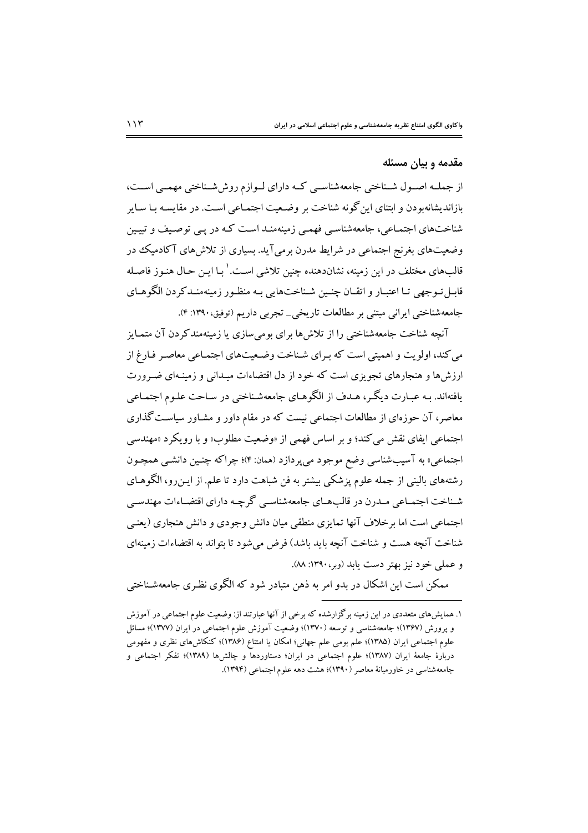#### مقدمه و بیان مسئله

از جملـه اصـول شـناختي جامعهشناسـي كـه داراي لـوازم روششـناختي مهمـي اسـت، بازاندیشانهبودن و ابتنای این گونه شناخت بر وضعیت اجتمـاعی اسـت. در مقایسـه بـا سـایر شناختهای اجتمـاعی، جامعهشناسـی فهمـی زمینهمنـد اسـت کـه در یـی توصـیف و تبیـین وضعیتهای بغرنج اجتماعی در شرایط مدرن برمیآید. بسیاری از تلاش های آکادمیک در قالبهای مختلف در این زمینه، نشاندهنده چنین تلاشی است. ٰ بـا ایـن حـال هنـوز فاصـله قابـل تـوجهي تـا اعتبـار و اتقــان چنـين شـناخت۱ايي بـه منظـور زمينهمنــدكردن الگوهــاي جامعهشناختی ایرانی مبتنی بر مطالعات تاریخی\_ تجربی داریم (توفیق،۱۳۹۰: ۴).

آنچه شناخت جامعهشناختی را از تلاش ها برای بومی سازی یا زمینهمندکردن آن متمـایز می کند، اولویت و اهمیتی است که به ای شناخت وضعیتهای اجتمـاعی معاصـر فـارغ از ارزش ها و هنجارهای تجویزی است که خود از دل اقتضاءات میدانی و زمینهای ضیرورت یافتهاند. بـه عبـارت دیگـر، هـدف از الگوهـاي جامعهشـناختي در سـاحت علـوم اجتمـاعي معاصر، آن حوزهای از مطالعات اجتماعی نیست که در مقام داور و مشـاور سیاسـت گذاری اجتماعی ایفای نقش می کند؛ و بر اساس فهمی از «وضعیت مطلوب» و با رویکرد «مهندسی اجتماعي» به آسيبشناسي وضع موجود مي پردازد (همان: ۴)؛ چراكه چنـين دانشـي همچـون رشتههای بالینی از جمله علوم پزشکی بیشتر به فن شباهت دارد تا علم. از ایـن(و، الگوهـای شـناخت اجتمـاعي مـدرن در قالبِهـاي جامعهشناسـي گرچـه داراي اقتضـاءات مهندسـي اجتماعی است اما برخلاف آنها تمایزی منطقی میان دانش وجودی و دانش هنجاری (یعنبی شناخت آنچه هست و شناخت آنچه باید باشد) فرض می شود تا بتواند به اقتضاءات زمینهای و عملي خود نيز بهتر دست يابد (وبر،١٣٩٠: ٨٨).

ممکن است این اشکال در بدو امر به ذهن متبادر شود که الگوی نظری جامعهشـناختی

۱. همایش های متعددی در این زمینه برگزارشده که برخی از آنها عبارتند از: وضعیت علوم اجتماعی در آموزش و پرورش (۱۳۶۷)؛ جامعهشناسی و توسعه (۱۳۷۰)؛ وضعیت آموزش علوم اجتماعی در ایران (۱۳۷۷)؛ مسائل علوم اجتماعی ایران (۱۳۸۵)؛ علم بومی علم جهانی؛ امکان یا امتناع (۱۳۸۶)؛ کنکاش۵ای نظری و مفهومی دربارهٔ جامعهٔ ایران (۱۳۸۷)؛ علوم اجتماعی در ایران؛ دستاوردها و چالشها (۱۳۸۹)؛ تفکر اجتماعی و جامعهشناسی در خاورمیانهٔ معاصر (۱۳۹۰)؛ هشت دهه علوم اجتماعی (۱۳۹۴).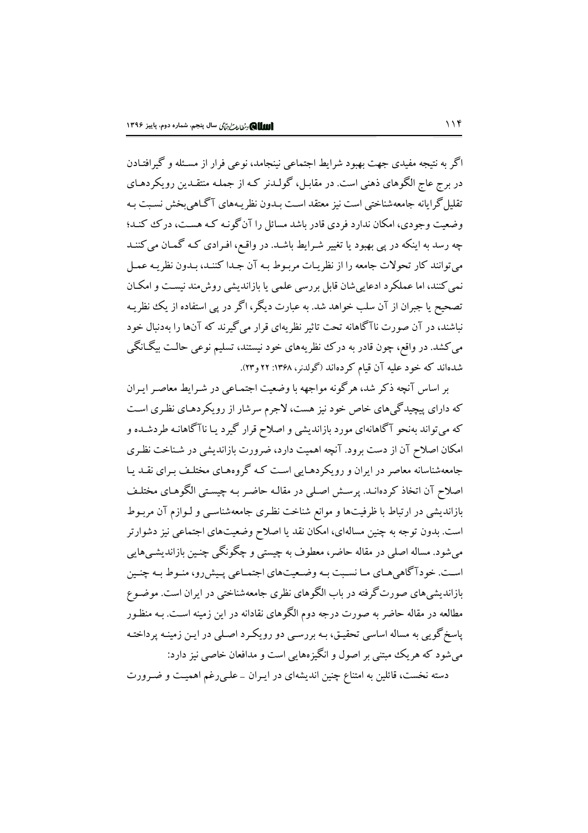اگر به نتیجه مفیدی جهت بهبود شرایط اجتماعی نینجامد، نوعی فرار از مسئله و گیرافتـادن در برج عاج الگوهای ذهنی است. در مقابـل، گولــدنر کـه از جملـه منتقــدین رویکردهـای تقلیل گرایانه جامعهشناختی است نیز معتقد است بـدون نظریـههای آگـاهی بخش نسـبت بـه وضعیت وجودی، امکان ندارد فردی قادر باشد مسائل را آنگونـه کـه هسـت، درک کنـد؛ چه رسد به اینکه در یی بهبود یا تغییر شـرایط باشـد. در واقـع، افـرادی کـه گمـان می کننـد مي توانند كار تحولات جامعه را از نظريـات مربـوط بـه آن جـدا كننـد، بـدون نظريـه عمـل نمی کنند، اما عملکرد ادعایی شان قابل بررسی علمی یا بازاندیشی روش مند نیست و امکـان تصحیح یا جبران از آن سلب خواهد شد. به عبارت دیگر، اگر در پی استفاده از یک نظریـه نباشند، در آن صورت ناآگاهانه تحت تاثیر نظریهای قرار میگیرند که آنها را بهدنبال خود می کشد. در واقع، چون قادر به درک نظریههای خود نیستند، تسلیم نوعی حالت بیگـانگی شدهاند که خود علیه آن قیام کردهاند (گولدنر، ۱۳۶۸: ۲۲ و۲۳).

بر اساس آنچه ذکر شد، هرگونه مواجهه با وضعیت اجتمـاعی در شـرابط معاصـر ایـران که دارای پیچیدگی های خاص خود نیز هست، لاجرم سرشار از رویکردهـای نظـری اسـت که می تواند بهنحو آگاهانهای مورد بازاندیشی و اصلاح قرار گیرد یـا ناآگاهانـه طردشـده و امکان اصلاح آن از دست برود. آنچه اهمیت دارد، ضرورت بازاندیشی در شـناخت نظـری جامعهشناسانه معاصر در ایران و رویکردهـایی اسـت کـه گروههـای مختلـف بـرای نقـد یـا اصلاح آن اتخاذ کردهانـد. پرسـش اصـلي در مقالـه حاضـر بـه چيسـتي الگوهـاي مختلـف بازاندیشی در ارتباط با ظرفیتها و موانع شناخت نظری جامعهشناسبی و لـوازم آن مربـوط است. بدون توجه به چنین مسالهای، امکان نقد یا اصلاح وضعیتهای اجتماعی نیز دشوارتر میشود. مساله اصلی در مقاله حاضر، معطوف به چیستی و چگونگی چنـین بازاندیشـی،هایی است. خودآگاهی هـاي مـا نسـبت بـه وضـعيتهاي اجتمـاعي پـيشررو، منـوط بـه چنـين بازاندیشیهای صورتگرفته در باب الگوهای نظری جامعهشناختی در ایران است. موضـوع مطالعه در مقاله حاضر به صورت درجه دوم الگوهای نقادانه در این زمینه است. بـه منظـور پاسخ گویی به مساله اساسی تحقیق، بـه بررسـی دو رویکـرد اصـلی در ایـن زمینـه پرداختـه می شود که هر یک مبتنی بر اصول و انگیزههایی است و مدافعان خاصی نیز دارد: دسته نخست، قائلین به امتناع چنین اندیشهای در ایـران \_ علـی(غم اهمیـت و ضـرورت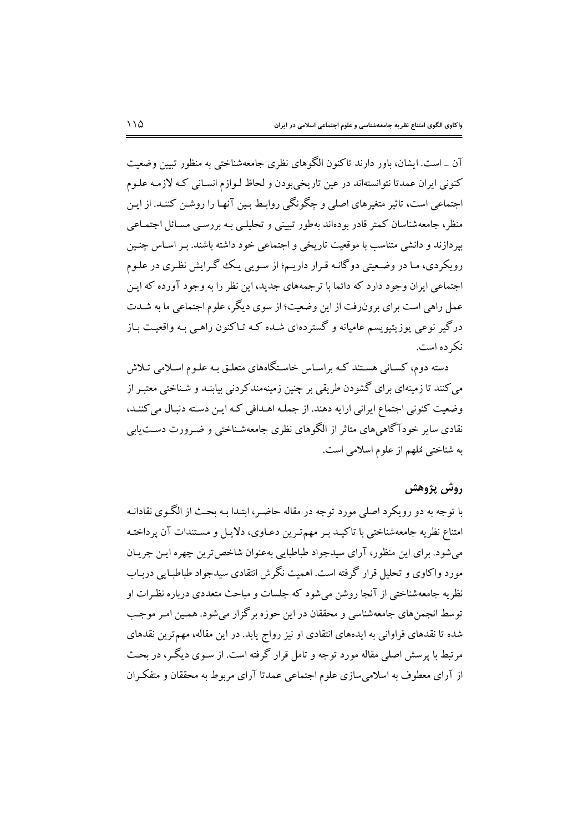آن \_ است. ايشان، باور دارند تاكنون الگوهاي نظري جامعهشناختي به منظور تبيين وضعيت کنونی ایران عمدتا نتوانستهاند در عین تاریخیبودن و لحاظ لـوازم انسـانی کـه لازمـه علـوم اجتماعی است، تاثیر متغیرهای اصلی و چگونگی روابط بین آنها را روشن کننـد. از ایـن منظر، جامعهشناسان کمتر قادر بودهاند بهطور تبیینی و تحلیلبی بـه بررسـی مسـائل اجتمـاعبی بیردازند و دانشی متناسب با موقعیت تاریخی و اجتماعی خود داشته باشند. بـر اسـاس چنـین رویکردی، ما در وضعیتی دوگانـه قـرار داریـم؛ از سـویی یـک گـرایش نظـری در علـوم اجتماعی ایران وجود دارد که دائما با ترجمههای جدید، این نظر را به وجود آورده که ایـن عمل راهی است برای برونرفت از این وضعیت؛ از سوی دیگر، علوم اجتماعی ما به شـدت درگیر نوعی یوزیتیویسم عامیانه و گستردهای شـده کـه تـاکنون راهـی بـه واقعیـت بـاز نک ده است.

دسته دوم، کسـانی هسـتند کـه براسـاس خاسـتگاههای متعلـق بـه علـوم اسـلامی تـلاش می کنند تا زمینهای برای گشودن طریقی بر چنین زمینهمندکردنی بیابنـد و شـناختی معتبـر از وضعیت کنونی اجتماع ایرانی ارایه دهند. از جملـه اهـدافی کـه ایـن دسـته دنبـال می کننـد، نقادی سایر خودآگاهیهای متاثر از الگوهای نظری جامعهشـناختی و ضـرورت دسـتLیابی به شناختی مُلهم از علوم اسلامی است.

#### روش پژوهش

با توجه به دو رویکرد اصلی مورد توجه در مقاله حاضـر، ابتـدا بـه بحـث از الگـوی نقادانـه امتناع نظریه جامعهشناختی با تاکیـد بـر مهمتـرین دعـاوی، دلایـل و مسـتندات آن پرداختـه مي شو د. براي اين منظو ر، آراي سيدجواد طباطبايي بهعنوان شاخص ترين چهره اين جريبان مورد واکاوی و تحلیل قرار گرفته است. اهمیت نگرش انتقادی سیدجواد طباطبایی دریاب نظریه جامعهشناختی از آنجا روشن می شود که جلسات و مباحث متعددی درباره نظـرات او توسط انجمنهای جامعهشناسی و محققان در این حوزه برگزار می شود. همـین امـر موجـب شده تا نقدهای فراوانی به ایدههای انتقادی او نیز رواج پابد. در این مقاله، مهمترین نقدهای مرتبط با پرسش اصلی مقاله مورد توجه و تامل قرار گرفته است. از سـوی دیگـر، در بحـث از آرای معطوف به اسلامیسازی علوم اجتماعی عمدتا آرای مربوط به محققان و متفکران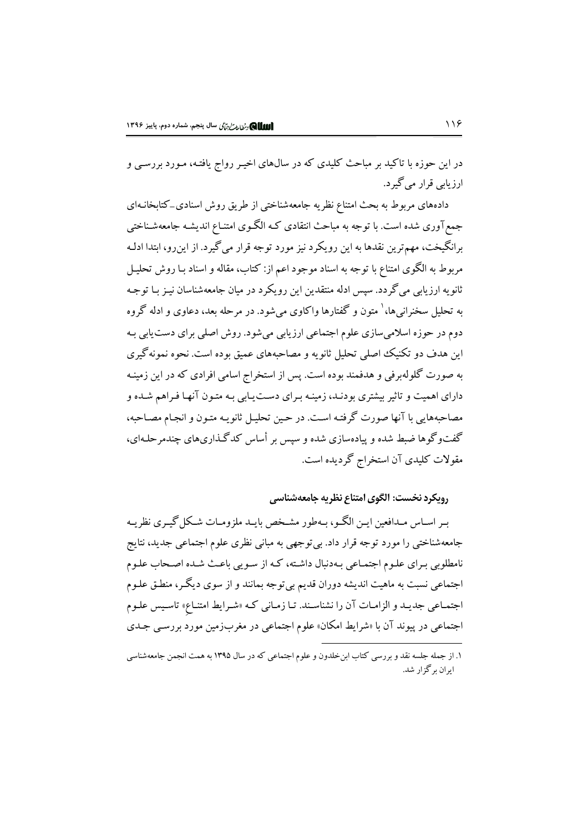در این حوزه با تاکید بر مباحث کلیدی که در سال\$ای اخیـر رواج یافتـه، مـورد بررسـی و ارزيابي قرار مي گيرد.

دادههای مربوط به بحث امتناع نظریه جامعهشناختی از طریق روش اسنادی\_کتابخانـهای جمع آوری شده است. با توجه به مباحث انتقادی کـه الگـوی امتنـاع اندیشـه جامعهشـناختی برانگيخت، مهم ترين نقدها به اين رويكرد نيز مورد توجه قرار مي گيرد. از اين رو، ابتدا ادلـه مربوط به الگوی امتناع با توجه به اسناد موجود اعم از: کتاب، مقاله و اسناد بـا روش تحليـل ثانو په ارزیابي مي گردد. سپس ادله منتقدين اين رويکرد در ميان جامعهشناسان نيـز بـا توجـه به تحلیل سخنرانی ها، <sup>۱</sup> متون و گفتارها واکاوی می شود. در مرحله بعد، دعاوی و ادله گروه دوم در حوزه اسلامی سازی علوم اجتماعی ارزیابی می شود. روش اصلی برای دست یابی بـه این هدف دو تکنیک اصلی تحلیل ثانو به و مصاحبههای عمیق بوده است. نحوه نمونه گیری به صورت گلولهبرفی و هدفمند بوده است. پس از استخراج اسامی افرادی که در این زمینـه دارای اهمیت و تاثیر بیشتری بودنـد، زمینـه بـرای دسـت۱بابی بـه متـون آنهـا فـراهم شـده و مصاحبههایی با آنها صورت گرفتـه اسـت. در حـین تحلیـل ثانویـه متـون و انجـام مصـاحبه، گفتوگوها ضبط شده و پیادهسازی شده و سپس بر أساس کدگذاریهای چندمرحلـهای، مقولات کلیدی آن استخراج گردیده است.

رويكرد نخست: الگوى امتناع نظريه جامعهشناسي

بیر اسپاس میدافعین ایین الگو، بیهطور مشیخص بایید ملزومیات شبکل گیبری نظرییه جامعهشناختی را مورد توجه قرار داد. بی توجهی به مبانی نظری علوم اجتماعی جدید، نتایج نامطلوبی برای علـوم اجتمـاعی بـهدنبال داشـته، کـه از سـویی باعـث شـده اصـحاب علـوم اجتماعي نسبت به ماهيت انديشه دوران قديم بي توجه بمانند و از سوى ديگـر، منطـق علـوم اجتمـاعي جديـد و الزامـات آن را نشناسـند. تـا زمـاني كـه «شـرايط امتنـاع» تاسـيس علـوم اجتماعی در پیوند آن با «شرایط امکان» علوم اجتماعی در مغربزمین مورد بررسبی جـدی

۱. از جمله جلسه نقد و بررسی کتاب ابن خلدون و علوم اجتماعی که در سال ۱۳۹۵ به همت انجمن جامعهشناسی ابران برگزار شد.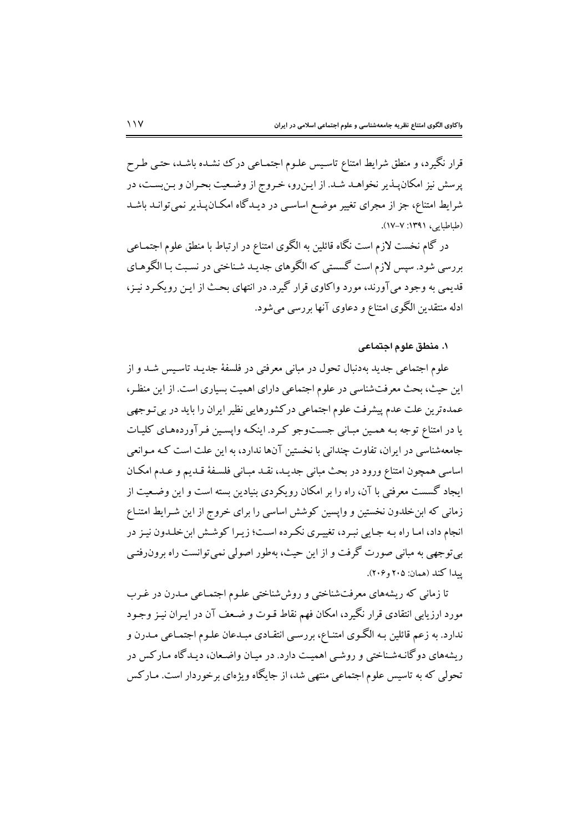قرار نگیرد، و منطق شرایط امتناع تاسیس علـوم اجتمـاعی درک نشـده باشـد، حتـی طـرح پرسش نیز امکان پـذیر نخواهـد شـد. از ایـن٫و، خـروج از وضـعیت بحـران و بـنبسـت، در شرایط امتناع، جز از مجرای تغییر موضع اساسـی در دیـدگاه امکـانپـذیر نمیتوانـد باشـد (طباطبايي، ١٣٩١: ٧-١٧).

در گام نخست لازم است نگاه قائلین به الگوی امتناع در ارتباط با منطق علوم اجتمـاعی بررسی شود. سپس لازم است گسستی که الگوهای جدیـد شـناختی در نسـبت بـا الگوهـای قديمي به وجود مي آورند، مورد واكاوي قرار گيرد. در انتهاي بحث از اين رويكرد نيـز، ادله منتقدین الگوی امتناع و دعاوی آنها بررسی می شود.

## ١. منطق علوم اجتماعي

علوم اجتماعی جدید بهدنبال تحول در مبانی معرفتی در فلسفهٔ جدیـد تاسـیس شـد و از این حیث، بحث معرفتشناسی در علوم اجتماعی دارای اهمیت بسیاری است. از این منظر، عمدهترین علت عدم پیشرفت علوم اجتماعی درکشورهایی نظیر ایران را باید در بی تـوجهی یا در امتناع توجه به همین میانی جستوجو کرد. اینکه واپسین فیرآوردههای کلیات جامعهشناسی در ایران، تفاوت چندانی با نخستین آنها ندارد، به این علت است کـه مـوانعی اساسی همچون امتناع ورود در بحث مبانی جدیـد، نقـد مبـانی فلسـفهٔ قـدیم و عـدم امکـان ایجاد گسست معرفتی با آن، راه را بر امکان رویکردی بنیادین بسته است و این وضـعیت از زمانی که ابن خلدون نخستین و واپسین کوشش اساسی را برای خروج از این شـرایط امتنـاع انجام داد، امـا راه بـه جـايي نبـرد، تغييـري نكـرده اسـت؛ زيـرا كوشـش ابن خلـدون نيـز در بي توجهي به مباني صورت گرفت و از اين حيث، بهطور اصولي نمي توانست راه برون رفتـي يبدا كند (همان: ۲۰۵ و ۲۰۶).

تا زمانی که ریشههای معرفتشناختی و روششناختی علـوم اجتمـاعی مـدرن در غـرب مورد ارزیابی انتقادی قرار نگیرد، امکان فهم نقاط قـوت و ضـعف آن در ایـران نیـز وجـود ندارد. به زعم قائلین بـه الگـوی امتنـاع، بررسـی انتقـادی مبـدعان علـوم اجتمـاعی مـدرن و ریشههای دوگانـهشـناختی و روشـی اهمیـت دارد. در میـان واضـعان، دیـدگاه مـارکس در تحولی که به تاسیس علوم اجتماعی منتهی شد، از جایگاه ویژهای برخوردار است. مـارکس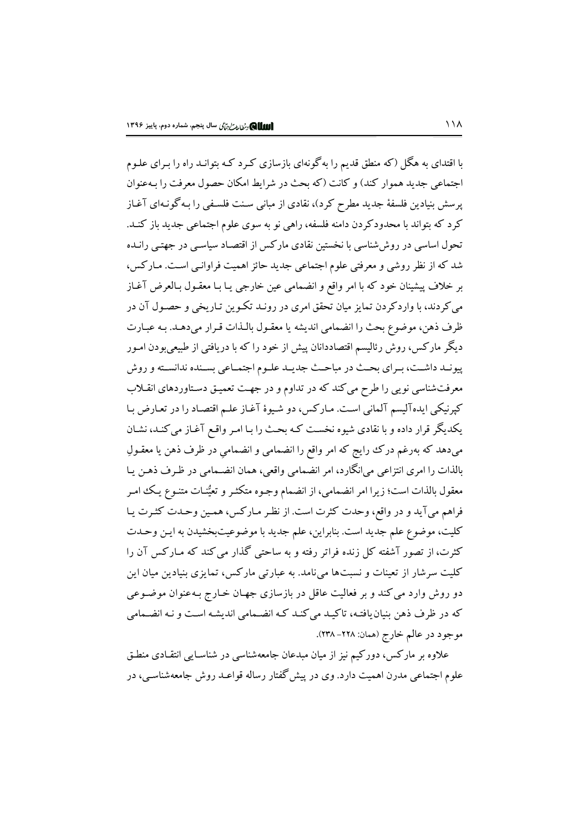با اقتدای به هگل (که منطق قدیم را بهگونهای بازسازی کـرد کـه بتوانـد راه را بـرای علـوم اجتماعی جدید هموار کند) و کانت (که بحث در شرایط امکان حصول معرفت را بـهعنوان پرسش بنیادین فلسفهٔ جدید مطرح کرد)، نقادی از مبانی سـنت فلسـفی را بـه گونـهای آغـاز کرد که بتواند با محدودکردن دامنه فلسفه، راهی نو به سوی علوم اجتماعی جدید باز کنـد. تحول اساسی در روش شناسی با نخستین نقادی مارکس از اقتصـاد سیاسـی در جهتـی رانـده شد که از نظر روشی و معرفتی علوم اجتماعی جدید حائز اهمیت فراوانبی است. مـارکس، بر خلاف پیشینان خود که با امر واقع و انضمامی عین خارجی یـا بـا معقـول بـالعرض آغـاز می کردند، با واردکردن تمایز میان تحقق امری در رونـد تکـوین تـاریخی و حصـول آن در ظرف ذهن، موضوع بحث را انضمامي انديشه يا معقـول بالـذات قـرار مىدهـد. بـه عبـارت دیگر مارکس، روش رئالیسم اقتصاددانان پیش از خود را که با دریافتی از طبیعیبودن امـور پیونـد داشـت، بـراي بحـث در مباحـث جديـد علـوم اجتمـاعي بسـنده ندانسـته و روش معرفتشناسی نویی را طرح می کند که در تداوم و در جهت تعمیـق دسـتاوردهای انقـلاب کپرنیکی ایدهآلیسم آلمانی است. مارکس، دو شیوهٔ آغاز علـم اقتصـاد را در تعـارض بـا یکدیگر قرار داده و با نقادی شیوه نخست کـه بحـث را بـا امـر واقـع آغـاز می کنـد، نشـان میدهد که بهرغم درک رایج که امر واقع را انضمامی و انضمامی در ظرف ذهن یا معقـولِ بالذات را امري انتزاعي ميانگارد، امر انضمامي واقعي، همان انضـمامي در ظـرف ذهـن يـا معقول بالذات است؛ زیرا امر انضمامی، از انضمام وجـوه متکثـر و تعیُّنـات متنـوع یـک امـر فراهم ميآيد و در واقع، وحدت كثرت است. از نظر مـاركس، همـين وحـدت كثـرت يـا كليت، موضوع علم جديد است. بنابراين، علم جديد با موضوعيتبخشيدن به ايـن وحـدت کثرت، از تصور آشفته کل زنده فراتر رفته و به ساحتی گذار می کند که مـارکس آن را کلیت سرشار از تعینات و نسبتها میiامد. به عبارتی مارکس، تمایزی بنیادین میان این دو روش وارد می کند و بر فعالیت عاقل در بازسازی جهـان خـارج بـهعنوان موضـوعی که در ظرف ذهن بنیان یافتـه، تاکیـد می کنـد کـه انضـمامی اندیشـه اسـت و نـه انضـمامی موجود در عالم خارج (همان: ٢٢٨- ٢٣٨).

علاوه بر مارکس، دورکیم نیز از میان مبدعان جامعهشناسی در شناسـایی انتقـادی منطـق علوم اجتماعی مدرن اهمیت دارد. وی در پیش گفتار رساله قواعـد روش جامعهشناسـی، در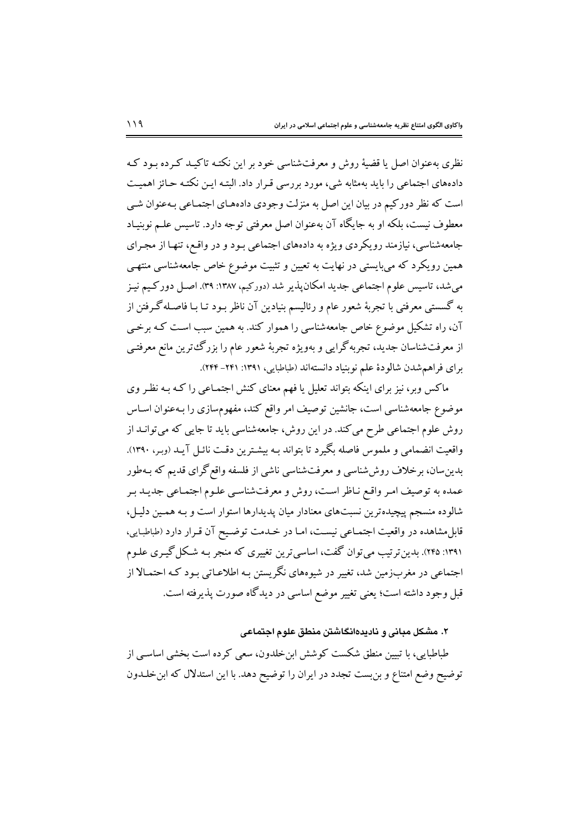نظری بهعنوان اصل یا قضیهٔ روش و معرفتشناسی خود بر این نکتـه تاکیـد کـرده بـود کـه دادههای اجتماعی را باید بهمثابه شی، مورد بررسی قـرار داد. البتـه ایـن نکتـه حـائز اهمیـت است که نظر دورکیم در بیان این اصل به منزلت وجودی دادههـای اجتمـاعی بـهعنوان شـی معطوف نیست، بلکه او به جایگاه آن بهعنوان اصل معرفتی توجه دارد. تاسیس علـم نوبنیـاد جامعهشناسی، نیازمند رویکردی ویژه به دادههای اجتماعی بود و در واقع، تنهـا از مجـرای همین رویکرد که می بایستی در نهایت به تعیین و تثبیت موضوع خاص جامعهشناسی منتهـی می شد، تاسیس علوم اجتماعی جدید امکان پذیر شد (دورکیم، ۱۳۸۷: ۳۹). اصـل دورکـیم نیـز به گسستی معرفتی با تجربهٔ شعور عام و رئالیسم بنیادین آن ناظر بـود تـا بـا فاصـلهگـرفتن از آن، راه تشکیل موضوع خاص جامعهشناسی را هموار کند. به همین سبب است کـه برخـی از معرفتشناسان جدید، تجربهگرایی و بهویژه تجربهٔ شعور عام را بزرگءترین مانع معرفتبی براي فراهم شدن شالودهٔ علم نوبنیاد دانستهاند (طباطبایی، ۱۳۹۱: ۲۴۱–۲۴۴).

ماکس وبر، نیز برای اینکه بتواند تعلیل یا فهم معنای کنش اجتمـاعی را کـه بـه نظـر وی موضوع جامعهشناسی است، جانشین توصیف امر واقع کند، مفهومسازی را بـهعنوان اسـاس روش علوم اجتماعی طرح می کند. در این روش، جامعهشناسی باید تا جایی که میتوانــد از واقعیت انضمامی و ملموس فاصله بگیرد تا بتواند بـه بیشـترین دقـت نائـل آیـد (وبـر، ۱۳۹۰). بدین سان، برخلاف روش شناسی و معرفت شناسی ناشی از فلسفه واقع گرای قدیم که بـهطور عمده به توصیف امر واقع نـاظر اسـت، روش و معرفتشناسـي علـوم اجتمـاعي جديـد بـر شالوده منسجم پیچیدهترین نسبتهای معنادار میان پدیدارها استوار است و بـه همـین دلیـل، قابل مشاهده در واقعیت اجتمـاعی نیسـت، امـا در خـدمت توضـیح آن قـرار دارد (طباطبـایی، ۱۳۹۱: ۲۴۵). بدین تر تیب می توان گفت، اساسی ترین تغییری که منجر بـه شـکل گیـری علـوم اجتماعی در مغربزمین شد، تغییر در شیوههای نگریستن بـه اطلاعـاتی بـود کـه احتمـالا از قبل وجود داشته است؛ یعنی تغییر موضع اساسی در دیدگاه صورت پذیرفته است.

### ۲. مشکل مبانی و نادیدهانگاشتن منطق علوم اجتماعی

طباطبایی، با تبیین منطق شکست کوشش ابن خلدون، سعی کرده است بخشی اساسبی از توضیح وضع امتناع و بن بست تجدد در ایران را توضیح دهد. با این استدلال که ابن خلـدون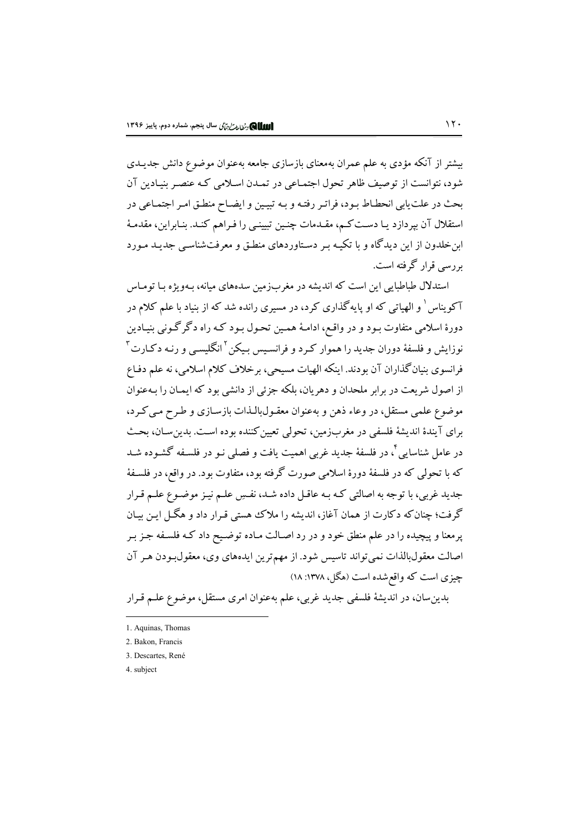بیشتر از آنکه مؤدی به علم عمران بهمعنای بازسازی جامعه بهعنوان موضوع دانش جدیـدی شود، نتوانست از توصيف ظاهر تحول اجتمـاعي در تمـدن اسـلامي كـه عنصـر بنيـادين آن بحث در علت یابی انحطـاط بـود، فراتـر رفتـه و بـه تبیـین و ایضـاح منطـق امـر اجتمـاعی در استقلال آن بپردازد یـا دسـت کـم، مقـدمات چنـین تبیینـی را فـراهم کنـد. بنـابراین، مقدمـهٔ ابن خلدون از این دیدگاه و با تکیـه بـر دسـتاوردهای منطـق و معرفتشناسـی جدیـد مـورد یر رسے قرار گرفته است.

استدلال طباطبایی این است که اندیشه در مغربزمین سدههای میانه، بـهویژه بـا تومـاس آکویناس ْ و الهیاتی که او پایهگذاری کرد، در مسیری رانده شد که از بنیاد با علم کلام در دورهٔ اسلامی متفاوت بـود و در واقـع، ادامـهٔ همـین تحـول بـود کـه راه دگر گـونی بنیـادین نوزایش و فلسفهٔ دوران جدید را هموار کـرد و فرانسـیس بـیکن<sup>۲</sup>انگلیسـی و رنـه دکـارت<sup>۳</sup> فرانسوی بنیانگذاران آن بودند. اینکه الهیات مسیحی، برخلاف کلام اسلامی، نه علم دفـاع از اصول شریعت در برابر ملحدان و دهریان، بلکه جزئی از دانشی بود که ایمـان را بـهعنوان موضوع علمي مستقل، در وعاء ذهن و بهعنوان معقـولبالـذات بازسـازي و طـرح مـي كـرد، براي آيندۀ انديشۀ فلسفي در مغربزمين، تحولي تعيين كننده بوده است. بدين سـان، بحـث در عامل شناسایی ٔ، در فلسفهٔ جدید غربی اهمیت یافت و فصلی نـو در فلسـفه گشـوده شـد که با تحولی که در فلسفهٔ دورهٔ اسلامی صورت گرفته بود، متفاوت بود. در واقع، در فلسـفهٔ جدید غربی، با توجه به اصالتی کـه بـه عاقـل داده شـد، نفـسِ علـم نیـز موضـوع علـم قـرار گرفت؛ چنان که دکارت از همان آغاز، اندیشه را ملاک هستی قـرار داد و هگـل ایـن بیـان پرمعنا و پیچیده را در علم منطق خود و در رد اصـالت مـاده توضـیح داد کـه فلسـفه جـز بـر اصالت معقولبالذات نمي تواند تاسيس شود. از مهم ترين ايدههاي وي، معقول بودن هـر آن چیزی است که واقع شده است (هگل، ۱۳۷۸: ۱۸)

بدین سان، در اندیشهٔ فلسفی جدید غربی، علم بهعنوان امری مستقل، موضوع علـم قـرار

<sup>1.</sup> Aquinas, Thomas

<sup>2.</sup> Bakon, Francis

<sup>3.</sup> Descartes, René

<sup>4.</sup> subject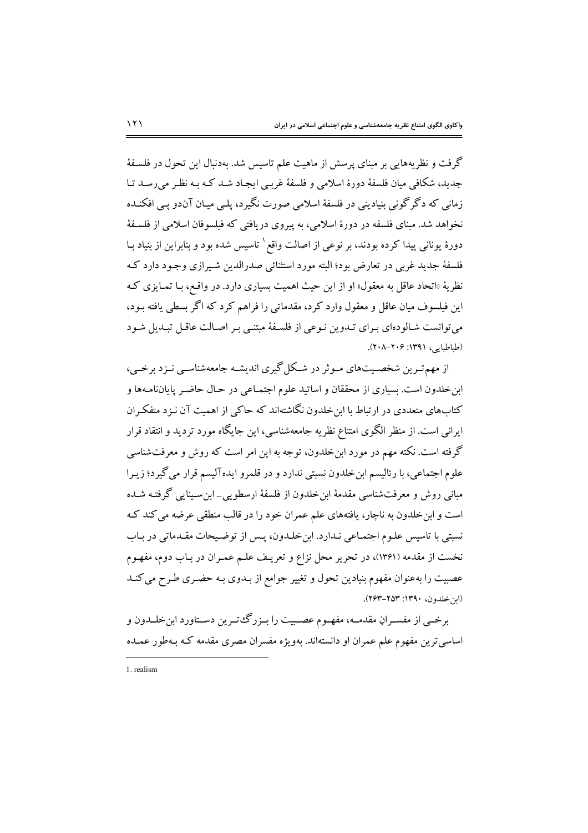گرفت و نظریههایی بر مبنای پرسش از ماهیت علم تاسیس شد. بهدنبال این تحول در فلسـفهٔ جدید، شکافی میان فلسفهٔ دورهٔ اسلامی و فلسفهٔ غرببی ایجاد شـد کـه بـه نظـر می رسـد تـا زمانی که دگر گونی بنیادینی در فلسفهٔ اسلامی صورت نگیرد، پلبی میـان آن‹و یـی افکنـده نخواهد شد. مبنای فلسفه در دورهٔ اسلامی، به پیروی دریافتی که فیلسوفان اسلامی از فلسفهٔ دورهٔ یونانی پیدا کرده بودند، بر نوعی از اصالت واقع`تاسیس شده بود و بنابراین از بنیاد بـا فلسفهٔ جدید غربی در تعارض بود؛ البته مورد استثنائی صدرالدین شـیرازی وجـود دارد کـه نظریهٔ «اتحاد عاقل به معقول» او از این حیث اهمیت بسیاری دارد. در واقـع، بـا تمـایزی کـه این فیلسوف میان عاقل و معقول وارد کرد، مقدماتی را فراهم کرد که اگر بسطی یافته بـود، می توانست شـالودهای بـرای تـدوین نـوعی از فلسـفهٔ مبتنـی بـر اصـالت عاقـل تبـدیل شـود (طباطبابه) ۱۳۹۱: ۲۰۶–۲۰۸).

از مهم تــرین شخصــیتهای مــوثر در شــکل گیری اندیشــه جامعهشناســی نــزد برخــی، ابن خلدون است. بسیاری از محققان و اساتید علوم اجتمـاعی در حـال حاضـر پایانiامـهها و کتابهای متعددی در ارتباط با این خلدون نگاشتهاند که حاکم از اهمیت آن نـزد متفکـران ایرانی است. از منظر الگوی امتناع نظریه جامعهشناسی، این جایگاه مورد تردید و انتقاد قرار گرفته است. نکته مهم در مورد ابنخلدون، توجه به این امر است که روش و معرفتشناسی علوم اجتماعي، با رئاليسم ابن خلدون نسبتي ندارد و در قلمرو ايدهآليسم قرار مي گيرد؛ زيـرا مبانی روش و معرفتشناسی مقدمهٔ این خلدون از فلسفهٔ ارسطویی\_این سینایی گرفتـه شـده است و ابن خلدون به ناچار، یافتههای علم عمران خود را در قالب منطقی عرضه می کند ک نسبتی با تاسیس علـوم اجتمـاعی نـدارد. ابنخلـدون، پـس از توضـیحات مقـدماتی در بـاب نخست از مقدمه (۱۳۶۱)، در تحریر محل نزاع و تعریـف علـم عمـران در بـاب دوم، مفهـوم عصبیت را بهعنوان مفهوم بنیادین تحول و تغییر جوامع از بـدوی بـه حضـری طـرح می کنـد (ابن خلدون، ١٣٩٠: ٢٥٣-٢۶٣).

برخــي از مفســرانِ مقدمــه، مفهــوم عصــبيت را بــزرگــُ تــرين دســتاورد ابن خلــدون و اساسی ترین مفهوم علم عمران او دانستهاند. بهویژه مفسران مصری مقدمه کـه بـهطور عمـده

<sup>1.</sup> realism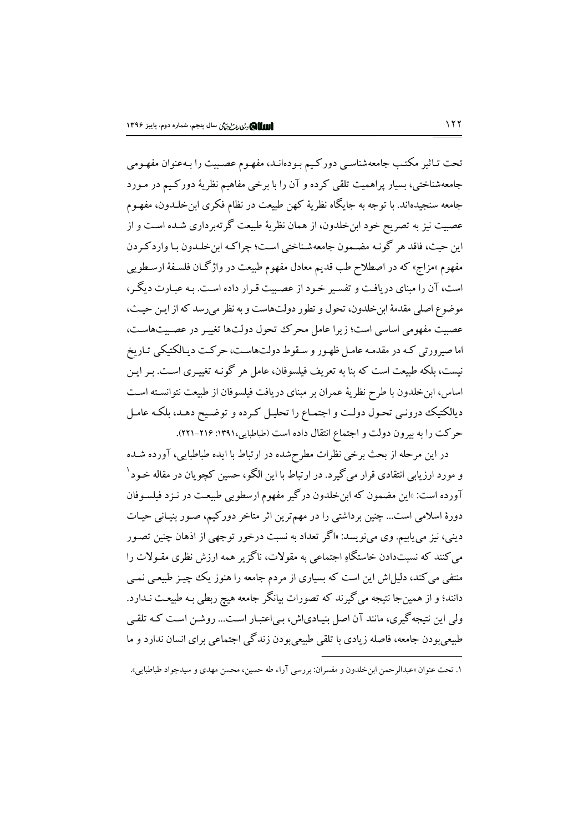تحت تـاثیر مکتـب جامعهشناسـی دورکـیم بـودهانـد، مفهـوم عصـبیت را بـهعنوان مفهـومی جامعهشناختی، بسیار پراهمیت تلقی کرده و آن را با برخی مفاهیم نظریهٔ دورکیم در مـورد جامعه سنجیدهاند. با توجه به جایگاه نظریهٔ کهن طبیعت در نظام فکری ابن خلـدون، مفهـوم عصبیت نیز به تصریح خود ابنخلدون، از همان نظریهٔ طبیعت گرتهبرداری شـده اسـت و از ابن حيث، فاقد هر گونـه مضـمون جامعهشـناختي اسـت؛ چراكـه ابن خلـدون بـا وار دكـر دن .<br>مفهوم «مزاج» که در اصطلاح طب قديم معادل مفهوم طبيعت در واژگـان فلسـفهٔ ارسـطويـي است، آن را مبنای در بافت و تفسیر خود از عصیبت قرار داده است. به عبارت دیگر، موضوع اصلي مقدمهٔ اين خلدون، تحول و تطور دولتهاست و به نظر مي رسد كه از اين حيث، عصبیت مفهومی اساسی است؛ زیرا عامل محرک تحول دولتها تغییر در عصبیتهاست، اما صيرورتي كـه در مقدمـه عامـل ظهـور و سـقوط دولت۱ماسـت، حركـت ديـالكتيكـي تـاريخ نیست، بلکه طبیعت است که بنا به تعریف فیلسوفان، عامل هر گونـه تغییـری اسـت. بـر ایـن اساس، ابن خلدون با طرح نظريهٔ عمران بر مبناي دريافت فيلسوفان از طبيعت نتوانسـته اسـت دیالکتیک درونبی تحول دولت و اجتماع را تحلیل کرده و توضیح دهـد، بلکـه عامـل حركت را به بيرون دولت و اجتماع انتقال داده است (طباطبايي،١٣٩١: ٢١۶-٢٢١).

در این مرحله از بحث برخی نظرات مطرحشده در ارتباط با ایده طباطبایی، آورده شـده و مورد ارزیابی انتقادی قرار می گیرد. در ارتباط با این الگو، حسین کچوپان در مقاله خـود ' آورده است: «این مضمون که ابن خلدون درگیر مفهوم ارسطویی طبیعت در نـزد فیلسـوفان دورهٔ اسلامی است… چنین برداشتی را در مهمترین اثر متاخر دورکیم، صـور بنیـانی حیـات دینی، نیز می یابیم. وی میiویسد: «اگر تعداد به نسبت درخور توجهی از اذهان چنین تصـور می کنند که نسبتدادن خاستگاهِ اجتماعی به مقولات، ناگز پر همه ارزش نظری مقـولات را منتفی می کند، دلیل اش این است که بسیاری از مردم جامعه را هنوز یک چچیز طبیعی نمـی دانند؛ و از همین جا نتیجه می گیرند که تصورات بیانگر جامعه هیچ ربطی بـه طبیعـت نــدارد. ولی این نتیجه گیری، مانند آن اصل بنیـادیاش، بـی|عتبـار اسـت... روشـن اسـت کـه تلقـی طبیعی بودن جامعه، فاصله زیادی با تلقی طبیعی بودن زندگی اجتماعی برای انسان ندارد و ما

١. تحت عنوان «عبدالرحمن ابن خلدون و مفسران: بررسي آراء طه حسبن، محسن مهدي و سيدجواد طباطباير».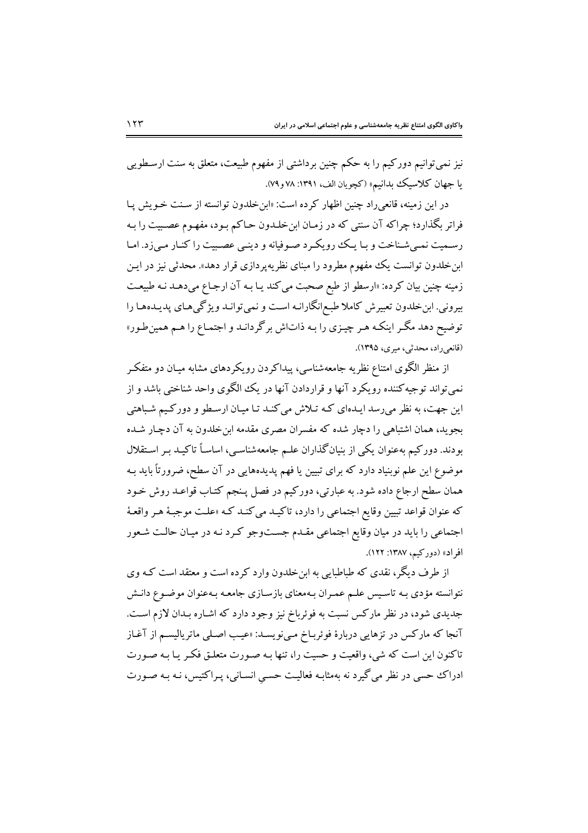نیز نمیتوانیم دورکیم را به حکم چنین برداشتی از مفهوم طبیعت، متعلق به سنت ارسطویی يا جهان كلاسيك بدانيم» (كچويان الف، ١٣٩١: ٧٨ و ٧٩).

در این زمینه، قانعی راد چنین اظهار کرده است: «ابن خلدون توانسته از سـنت خـویش پـا فراتر بگذارد؛ چراکه آن سنتی که در زمـان ابنخلـدون حـاکم بـود، مفهـوم عصـبیت را بـه رسميت نمبي شناخت و بـا يـك رويكـرد صـوفيانه و دينـي عصـيت را كنـار مـي;د. امـا ابن خلدون توانست یک مفهوم مطرود را مبنای نظریه پردازی قرار دهد». محدثی نیز در ایـن زمینه چنین بیان کرده: «ارسطو از طبع صحبت می کند یـا بـه آن ارجـاع میدهـد نـه طبیعـت بیرونی. ابن خلدون تعبیرش کاملا طبع انگارانـه اسـت و نمی توانـد ویژگیهای پدیـدههـا را توضیح دهد مگر اینکه هر چیزی را به ذاتاش برگردانـد و اجتمـاع را هـم همینطـور» (قانعي راد، محدثي، ميري، ١٣٩۵).

از منظر الگوی امتناع نظریه جامعهشناسی، پیداکردن رویکردهای مشابه میـان دو متفکـر نمي تواند توجيه کننده رويکرد آنها و قراردادن آنها در يک الگوي واحد شناختي باشد و از این جهت، به نظر می رسد ایـدهای کـه تـلاش می کنـد تـا میـان ارسـطو و دورکـیـم شـباهتی بجوید، همان اشتباهی را دچار شده که مفسران مصری مقدمه این خلدون به آن دچـار شـده بودند. دورکیم بهعنوان یکی از بنیانگذاران علـم جامعهشناسـی، اساسـاً تاکیـد بـر اسـتقلال موضوع این علم نوبنیاد دارد که برای تبیین یا فهم پدیدههایی در آن سطح، ضرورتاً باید بـه همان سطح ارجاع داده شود. به عبارتي، دوركيم در فصل پـنجم كتـاب قواعـد روش خـود که عنوان قواعد تبیین وقایع اجتماعی را دارد، تاکیـد میکنـد کـه «علـت موجبـهٔ هـر واقعـهٔ اجتماعی را باید در میان وقایع اجتماعی مقـدم جســتوجو کـرد نـه در میـان حالـت شـعور افراد» (دورکیم، ۱۳۸۷: ۱۲۲).

از طرف دیگر، نقدی که طباطبایی به ابنِ خلدون وارد کرده است و معتقد است کـه وی نتوانسته مؤدی بـه تاسـیس علـم عمـران بـهمعنای بازسـازی جامعـه بـهعنوان موضـوع دانـش جدیدی شود، در نظر مارکس نسبت به فوئرباخ نیز وجود دارد که اشـاره بـدان لازم اسـت. ۔<br>آنجا که مارکس در تزهایی دربارهٔ فوئربـاخ مـی;نویسـد: «عیـب اصـلی ماتریالیسـم از آغـاز تاکنون این است که شی، واقعیت و حسیت را، تنها بـه صـورت متعلـق فکـر یـا بـه صـورت ادراک حسی در نظر می گیرد نه بهمثابـه فعالیـت حسـی انسـانی، پـراکتیس، نـه بـه صـورت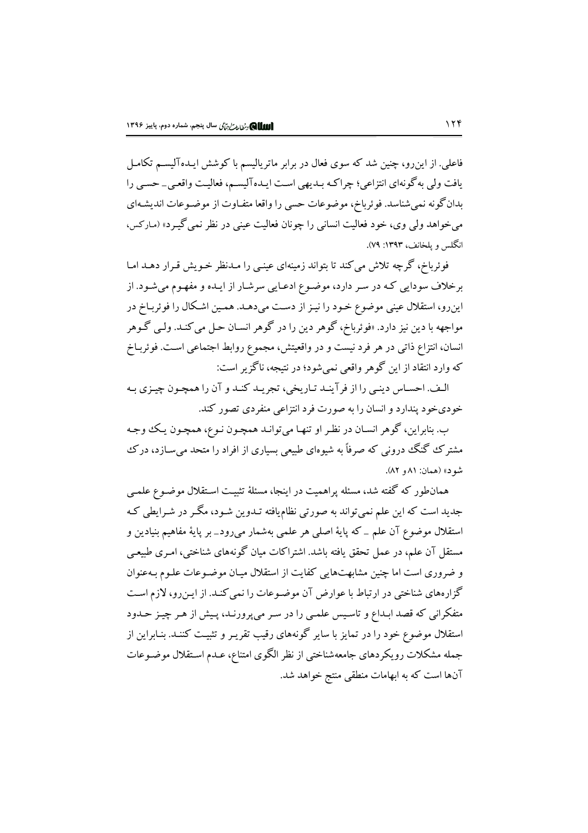فاعلی. از این٫و، چنین شد که سوی فعال در برابر ماتریالیسم با کوشش ایـدهآلیســم تکامـل یافت ولی به گونهای انتزاعی؛ چراکه بـدیهی اسـت ایـدهآلیسـم، فعالیـت واقعـی\_ حسـی را بدانگونه نمیشناسد. فوئرباخ، موضوعات حسی را واقعا متفـاوت از موضـوعات اندیشـهای میخواهد ولی وی، خود فعالیت انسانی را چونان فعالیت عینی در نظر نمی گیـرد» (مـارکس، انگلس و پلخانف، ۱۳۹۳: ۷۹).

فوئرباخ، گرچه تلاش می کند تا بتواند زمینهای عینبی را مـدنظر خـویش قـرار دهـد امـا برخلاف سودایی کـه در سـر دارد، موضـوع ادعـایی سرشـار از ایـده و مفهـوم میشـود. از اینرو، استقلال عینی موضوع خـود را نیـز از دسـت میدهـد. همـین اشـکال را فوئربـاخ در مواجهه با دين نيز دارد. «فوئرباخ، گوهر دين را در گوهر انسـان حـل مي كنـد. ولـي گـوهر انسان، انتزاع ذاتبي در هر فرد نيست و در واقعيتش، مجموع روابط اجتماعي اسـت. فوئربـاخ که وارد انتقاد از این گوهر واقعی نمی شود؛ در نتیجه، ناگزیر است:

الـف. احسـاس دينـي را از فر آينـد تـاريخي، تجريـد كنـد و آن را همچـون چيـزي بـه خودي خو د پندارد و انسان را به صورت فرد انتزاعي منفردي تصور كند.

ب. بنابراين، گوهر انسـان در نظـر او تنهـا مي توانـد همچـون نـوع، همچـون يـك وجـه مشترک گنگ درونی که صرفاً به شیوهای طبیعی بسیاری از افراد را متحد می سـازد، درک شود» (همان: ۸۱ و ۸۲).

همانطور که گفته شد، مسئله پراهمیت در اینجا، مسئلهٔ تثبیت اسـتقلال موضـوع علمـی جدید است که این علم نمیتواند به صورتی نظامیافته تـدوین شـود، مگـر در شـرایطی کـه استقلال موضوع آن علم \_ كه پايهٔ اصلي هر علمي بهشمار مي رود\_ بر پايهٔ مفاهيم بنيادين و مستقل آن علم، در عمل تحقق یافته باشد. اشتراکات میان گونههای شناختی، امـری طبیعـی و ضروری است اما چنین مشابهتهایی کفایت از استقلال میـان موضـوعات علـوم بـهعنوان گزارههای شناختی در ارتباط با عوارض آن موضـوعات را نمی کنـد. از ایـن٫و، لازم اسـت .<br>متفکرانی که قصد ابـداع و تاسـیس علمـی را در سـر میپرورنـد، پـیش از هـر چیـز حـدود استقلال موضوع خود را در تمایز با سایر گونههای رقیب تقریـر و تثبیـت کننـد. بنـابراین از جمله مشکلات رویکردهای جامعهشناختی از نظر الگوی امتناع، عـدم اسـتقلال موضـوعات آنها است که به ابهامات منطقی منتج خواهد شد.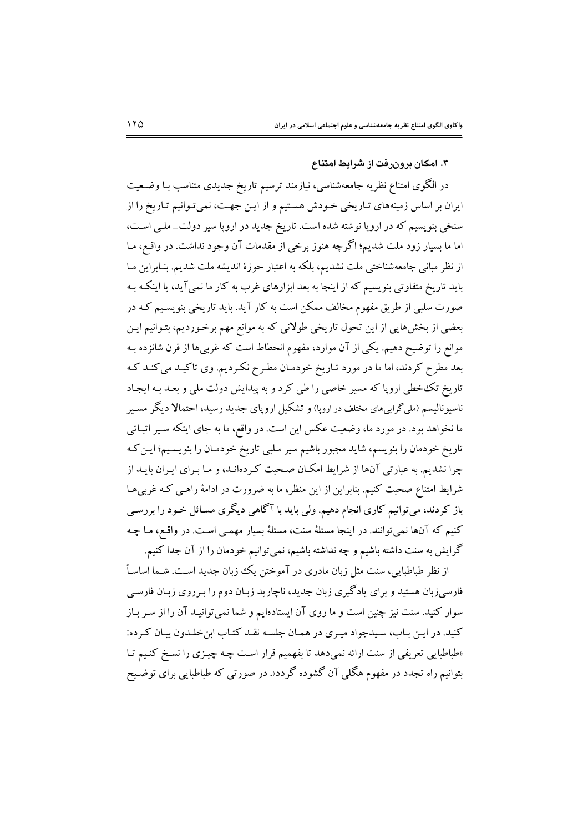#### ۳. امکان برون,فت از شرایط امتناع

در الگوی امتناع نظریه جامعهشناسی، نیازمند ترسیم تاریخ جدیدی متناسب بـا وضـعیت ایران بر اساس زمینههای تـاریخی خـودش هسـتیم و از ایـن جهـت، نمیتوانیم تـاریخ را از سنخی بنویسیم که در اروپا نوشته شده است. تاریخ جدید در اروپا سیر دولت\_ملـی اسـت، اما ما بسیار زود ملت شدیم؛ اگرچه هنوز برخی از مقدمات آن وجود نداشت. در واقـع، مـا از نظر مبانی جامعهشناختی ملت نشدیم، بلکه به اعتبار حوزهٔ اندیشه ملت شدیم. بنـابراین مـا باید تاریخ متفاوتی بنویسیم که از اینجا به بعد ابزارهای غرب به کار ما نمیآید، یا اینکـه بـه صورت سلبی از طریق مفهوم مخالف ممکن است به کار آید. باید تاریخی بنویسـیم کـه در بعضی از بخشهایی از این تحول تاریخی طولانی که به موانع مهم برخـوردیم، بتـوانیم ایـن موانع را توضیح دهیم. یکی از آن موارد، مفهوم انحطاط است که غربیها از قرن شانزده بـه بعد مطرح کردند، اما ما در مورد تـاريخ خودمـان مطـرح نکـرديم. وي تاکيـد مي کنـد کـه تاریخ تکخطی اروپا که مسیر خاصی را طی کرد و به پیدایش دولت ملی و بعـد بـه ایجـاد ناسیونالیسم (ملیگراییهای مختلف در اروپا) و تشکیل اروپای جدید رسید، احتمالا دیگر مسیر ما نخواهد بود. در مورد ما، وضعیت عکس این است. در واقع، ما به جای اینکه سـیر اثبـاتی تاریخ خودمان را بنویسم، شاید مجبور باشیم سیر سلبی تاریخ خودمـان را بنویسـیم؛ ایـن کـه چرا نشدیم. به عبارتی آنها از شرایط امکان صحبت کردهانـد، و مـا بـرای ایـران بایـد از شرایط امتناع صحبت کنیم. بنابراین از این منظر، ما به ضرورت در ادامهٔ راهـی کـه غربی۱هـا <sub>.</sub><br>باز کردند، میتوانیم کاری انجام دهیم. ولی باید با آگاهی دیگری مسـائل خـود را بررسـی کنیم که آنها نمیتوانند. در اینجا مسئلهٔ سنت، مسئلهٔ بسیار مهمـی اسـت. در واقـع، مـا چـه گرایش به سنت داشته باشیم و چه نداشته باشیم، نمیتوانیم خودمان را از آن جدا کنیم.

از نظر طباطبایی، سنت مثل زبان مادری در آموختن یک زبان جدید اسـت. شـما اساسـاً .<br>فارسیزبان هستید و برای یادگیری زبان جدید، ناچارید زبـان دوم را بـرروی زبـان فارسـی سوار کنید. سنت نیز چنین است و ما روی آن ایستادهایم و شما نمی توانیـد آن را از سـر بـاز كنيد. در ايـن بـاب، سـيدجواد ميـري در همـان جلسـه نقـد كتـاب ابن خلـدون بيـان كـرده: «طباطبایی تعریفی از سنت ارائه نمیدهد تا بفهمیم قرار است چه چیـزی را نسـخ کنـیم تـا بتوانیم راه تجدد در مفهوم هگلبی آن گشوده گردد». در صورتبی که طباطبایبی برای توضیح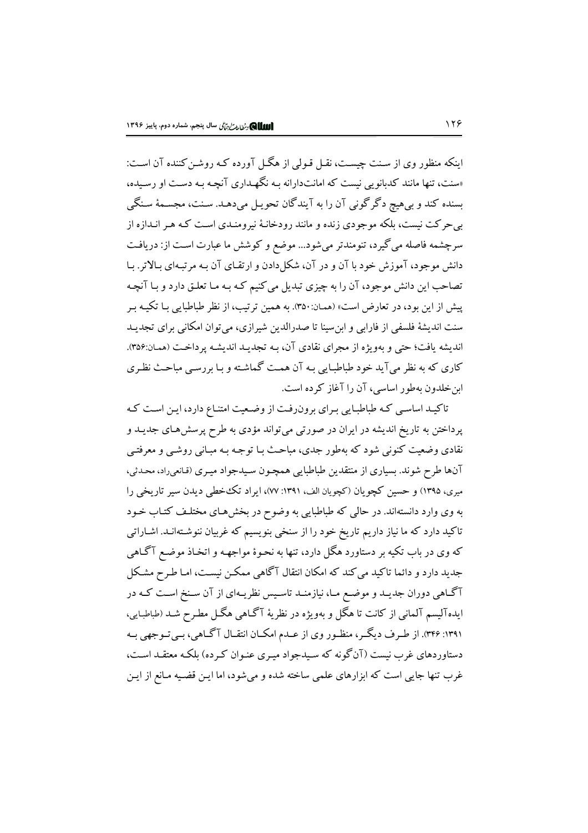اینکه منظور وی از سنت چست، نقبل قبولی از هگیل آورده کـه روشـن کننده آن اسـت: «سنت، تنها مانند کدبانویی نیست که امانتدارانه بـه نگهـداری آنچـه بـه دسـت او رسـیده، بسنده کند و بیهیچ دگرگونی آن را به آیندگان تحویل میدهـد. سـنت، مجسـمهٔ سـنگی بی حرکت نیست، بلکه موجودی زنده و مانند رودخانـهٔ نیرومنـدی اسـت کـه هـر انــدازه از سرچشمه فاصله می گیرد، تنومندتر می شود... موضع و کوشش ما عبارت است از: دریافت دانش موجود، آموزش خود با آن و در آن، شکل دادن و ارتقـای آن بـه مرتبـهای بـالاتر. بـا تصاحب این دانش موجود، آن را به چیزی تبدیل میکنیم کـه بـه مـا تعلـق دارد و بـا آنچـه پیش از این بود، در تعارض است» (همـان:۳۵۰). به همین ترتیب، از نظر طباطبایی بـا تکیـه بـر سنت اندیشهٔ فلسفی از فارابی و ابن سینا تا صدرالدین شیرازی، می توان امکانی برای تجدیـد اندیشه یافت؛ حتی و پهویژه از مجرای نقادی آن، په تجدید اندیشه پر داخت (همان:۳۵۶). کاری که به نظر می آید خود طباطبایی بـه آن همـت گماشـته و بـا بررسـی مباحـث نظـری ابن خلدون به طور اساسی، آن را آغاز کرده است.

تاکیـد اساسـی کـه طباطبـایی بـرای برون(فـت از وضـعیت امتنـاع دارد، ایـن اسـت کـه پرداختن به تاریخ اندیشه در ایران در صورتی میتواند مؤدی به طرح پرسشهای جدیـد و نقادي وضعيت کنوني شود که بهطور جدي، مباحث بـا توجـه بـه مبـاني روشـي و معرفتـي آنها طرح شوند. بسیاری از منتقدین طباطبایی همچـون سـیدجواد میـری (قـانعیراد، محـدثی، میری، ۱۳۹۵) و حسین کچویان (کچویان الف، ۱۳۹۱: ۷۷)، ایراد تک خطی دیدن سیر تاریخی را به وی وارد دانستهاند. در حالی که طباطبایی به وضوح در بخشهای مختلـف کتـاب خـود تاکید دارد که ما نیاز داریم تاریخ خود را از سنخی بنویسیم که غربیان ننوشـتهانـد. اشـاراتی که وي در باب تکيه بر دستاورد هگل دارد، تنها به نحـوهٔ مواجهـه و اتخـاذ موضـع آگـاهـي جدید دارد و دائما تاکید می کند که امکان انتقال آگاهی ممکن نیست، امـا طـرح مشـکل آگاهی دوران جدیـد و موضـع مـا، نیازمنـد تاسـیس نظریـهای از آن سـنخ اسـت کـه در ايدهآليسم آلماني از كانت تا هگل و بهويژه در نظريهٔ آگـاهي هگـل مطـرح شـد (طباطبـايي، ۱۳۹۱: ۳۴۶). از طـرف دیگـر، منظـور وی از عـدم امکـان انتقـال آگـاهي، بـي تـوجهي بـه دستاوردهای غرب نیست (آنگونه که سـیدجواد میـری عنـوان کـرده) بلکـه معتقـد اسـت، غرب تنها جایی است که ابزارهای علمی ساخته شده و می شود، اما ایـن قضـیه مـانع از ایـن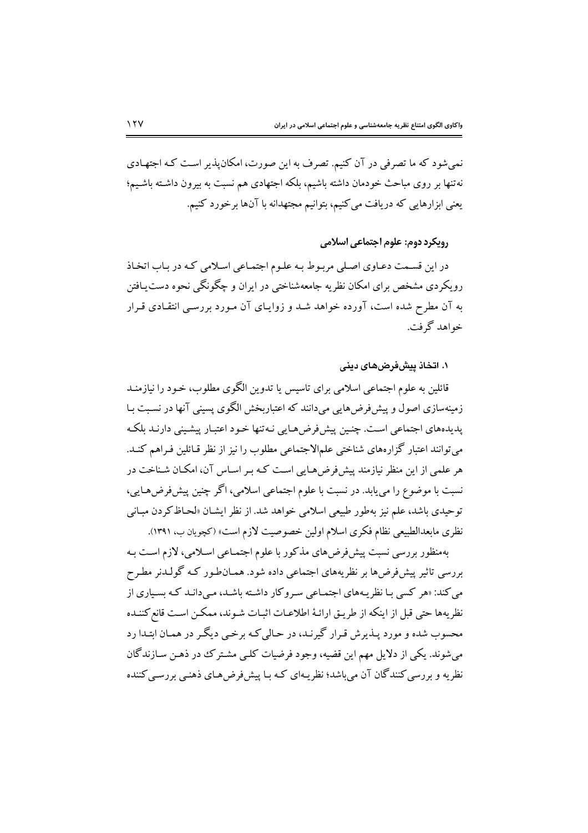نمیشود که ما تصرفی در آن کنیم. تصرف به این صورت، امکان پذیر است کـه اجتهـادی نه تنها بر روی مباحث خودمان داشته باشیم، بلکه اجتهادی هم نسبت به بیرون داشـته باشـیم؛ یعنی ابزارهایی که دریافت می کنیم، بتوانیم مجتهدانه با آنها برخورد کنیم.

رویکرد دوم: علوم اجتماعی اسلامی

در این قسمت دعباوی اصلی مربوط به علوم اجتماعی اسلامی که در باب اتخاذ رویکردی مشخص برای امکان نظریه جامعهشناختی در ایران و چگونگی نحوه دست بیافتن به آن مطرح شده است، آورده خواهد شـد و زوایـای آن مـورد بررسـی انتقـادی قـرار خواهد گرفت.

۰۱ اتخاذ پیشفررضهای دینی

قائلین به علوم اجتماعی اسلامی برای تاسیس یا تدوین الگوی مطلوب، خـود را نیازمنــد زمینهسازی اصول و پیش فرضهایی می،دانند که اعتباربخش الگوی پسینی آنها در نسبت بـا .<br>پدیدهای اجتماعی است. چنین پیش فرض هبایی نبه تنها خبود اعتبار پیشینی دارنید ملکه می توانند اعتبار گزارههای شناختی علمالاجتماعی مطلوب را نیز از نظر قـائلین فـراهم کنـد. هر علمی از این منظر نیازمند پیش فرض هـایی اسـت کـه بـر اسـاس آن، امکـان شـناخت در نسبت با موضوع را می یابد. در نسبت با علوم اجتماعی اسلامی، اگر چنین پیشفرضهایی، توحیدی باشد، علم نیز بهطور طبیعی اسلامی خواهد شد. از نظر ایشـان «لحـاظ کردن مبـانی نظري مابعدالطبيعي نظام فكري اسلام اولين خصوصيت لازم است» (كچويان ب، ١٣٩١).

بهمنظور بررسی نسبت پیش فرضهای مذکور با علوم اجتمـاعی اسـلامی، لازم اسـت بـه بررسی تاثیر پیشفرضها بر نظریههای اجتماعی داده شود. همـان $طور کـه گولـدنر مطـرح$ می کند: «هر کسی با نظر پههای اجتماعی سـروکار داشـته باشـد، مـی دانـد کـه بسـیاری از نظريهها حتى قبل از اينكه از طريـق ارائـهٔ اطلاعـات اثبـات شـوند، ممكـن اسـت قانع كننـده محسوب شده و مورد پیذیرش قیرار گیرنید، در حیالی کیه برخبی دیگیر در همیان ابتیدا رد می شوند. یکی از دلایل مهم این قضیه، وجود فرضیات کلبی مشتر ک ددر ذهـن سـازندگان نظریه و بررسی کنندگان آن می باشد؛ نظریـهای کـه بـا پیشفر ضهـای ذهنـی بررسـی کننده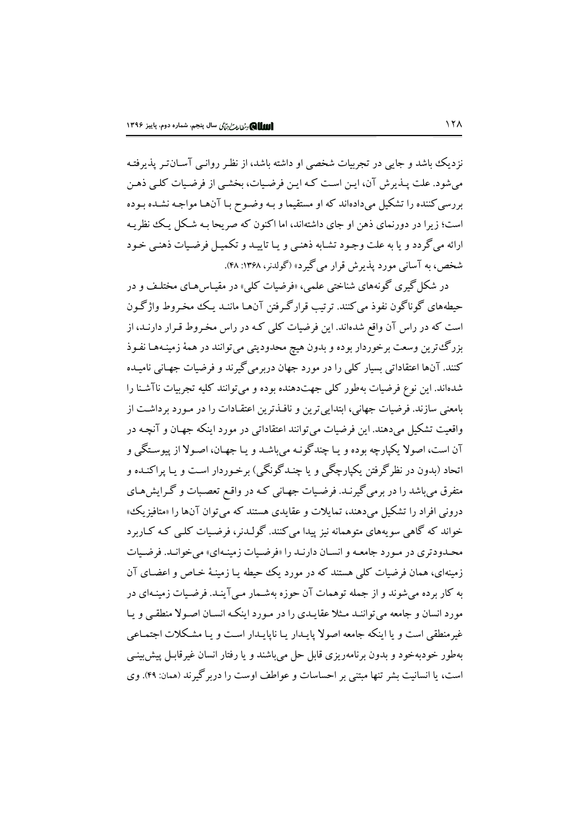نزدیک باشد و جایی در تجربیات شخصی او داشته باشد، از نظر روانبی آسـانتـر پذیرفتـه می شود. علت پـذیرش آن، ایـن اسـت کـه ایـن فرضـیات، بخشـی از فرضـیات کلـی ذهـن بررسی کننده را تشکیل میدادهاند که او مستقیما و بـه وضـوح بـا آنهـا مواجـه نشـده بـوده است؛ زیرا در دورنمای ذهن او جای داشتهاند، اما اکنون که صریحا بـه شـکل یـک نظریـه ارائه میگردد و یا به علت وجود تشـابه ذهنـی و یـا تاییـد و تکمیـل فرضـیات ذهنـی خـود شخص، به آسانی مورد پذیرش قرار می گیرد» (گولدنر، ۱۳۶۸: ۴۸).

در شکل گیری گونههای شناختی علمی، «فرضیات کلی» در مقیـاس هـای مختلـف و در حیطههای گوناگون نفوذ می کنند. ترتیب قرارگرفتن آنهـا ماننـد یـک مخـروط واژگـون است که در راس آن واقع شدهاند. این فرضیات کلی کـه در راس مخـروط قـرار دارنـد، از بزرگ ترین وسعت برخوردار بوده و بدون هیچ محدودیتی می توانند در همهٔ زمینـههـا نفـوذ کنند. آنها اعتقاداتی بسیار کلی را در مورد جهان دربرمی گیرند و فرضیات جهـانی نامیـده شدهاند. این نوع فرضیات بهطور کلبی جهتدهنده بوده و می توانند کلیه تجربیات ناآشـنا را بامعنی سازند. فرضیات جهانی، ابتدایی ترین و نافـذترین اعتقـادات را در مـورد برداشـت از واقعیت تشکیل میدهند. این فرضیات می توانند اعتقاداتی در مورد اینکه جهـان و آنچـه در آن است، اصولا يكيارچه بوده و يـا چندگونـه مي باشـد و يـا جهـان، اصـولا از پيوسـتگي و اتحاد (بدون در نظرگرفتن یکپارچگی و یا چنـدگونگی) برخـوردار اسـت و یـا پراکنـده و متفرق میباشد را در برمی گیرنـد. فرضـیات جهـانی کـه در واقـع تعصـبات و گـرایشهـای درونی افراد را تشکیل میدهند، تمایلات و عقایدی هستند که می توان آنها را «متافیزیک» خواند که گاهی سویههای متوهمانه نیز پیدا می کنند. گولـدنر، فرضـیات کلـی کـه کـاریرد محـدودتري در مـورد جامعـه و انسـان دارنـد را «فرضـيات زمينـهاي» مي خوانـد. فرضـيات زمینهای، همان فرضیات کلی هستند که در مورد یک حیطه یـا زمینـهٔ خـاص و اعضـای آن به کار برده می شوند و از جمله توهمات آن حوزه بهشـمار مـی آینـد. فرضـیات زمینـهای در مورد انسان و جامعه می تواننـد مـثلا عقایـدی را در مـورد اینکـه انسـان اصـولا منطقـی و پـا غیرمنطقی است و یا اینکه جامعه اصولا پایـدار یـا ناپایـدار اسـت و یـا مشـکلات اجتمـاعی بهطور خودبهخود و بدون برنامهریزی قابل حل می باشند و یا رفتار انسان غیرقابـل پیش بینـی است، یا انسانیت بشر تنها مبتنی بر احساسات و عواطف اوست را دربر گیرند (همان: ۴۹). وی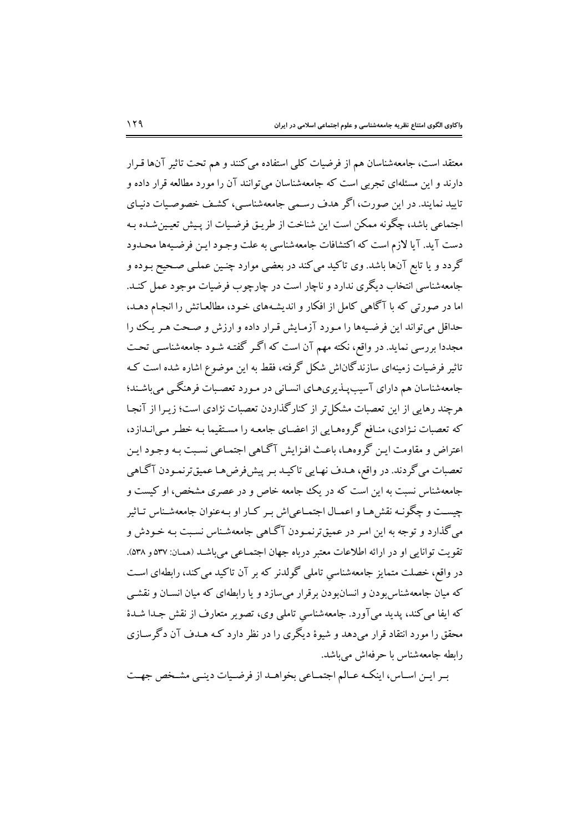معتقد است، جامعهشناسان هم از فرضیات کلی استفاده می کنند و هم تحت تاثیر آنها قـرار دارند و این مسئلهای تجربی است که جامعهشناسان میتوانند آن را مورد مطالعه قرار داده و تایید نمایند. در این صورت، اگر هدف رسـمی جامعهشناسـی، کشـف خصوصـیات دنیـای اجتماعی باشد، چگونه ممکن است این شناخت از طریـق فرضـیات از پـیش تعیـین شـده بـه دست آید. آیا لازم است که اکتشافات جامعهشناسی به علت وجـود ایـن فرضـیهها محـدود گردد و یا تابع آنها باشد. وی تاکید می کند در بعضی موارد چنـین عملـی صـحیح بـوده و جامعهشناسی انتخاب دیگری ندارد و ناچار است در چارچوب فرضیات موجود عمل کنـد. اما در صورتی که با آگاهی کامل از افکار و اندیشههای خـود، مطالعـاتش را انجـام دهـد، حداقل می تواند این فرضیهها را مـورد آزمـایش قـرار داده و ارزش و صـحت هـر یـک را مجددا بررسی نماید. در واقع، نکته مهم آن است که اگـر گفتـه شـود جامعهشناسـی تحـت تاثیر فرضیات زمینهای سازندگان\ش شکل گرفته، فقط به این موضوع اشاره شده است کـه جامعهشناسان هم داراي آسيبپـذيريهـاي انسـاني در مـورد تعصـبات فرهنگـي ميباشـند؛ هرجند رهایی از این تعصیات مشکل تر از کنارگذاردن تعصیات نژادی است؛ زیبرا از آنجیا که تعصبات نـژادي، منـافع گروههـايي از اعضـاي جامعـه را مسـتقيما بـه خطـر مـي|نــدازد، اعتراض و مقاومت ايـن گروههـا، باعـث افـزايش آگـاهي اجتمـاعي نسـبت بـه وجـود ايـن تعصبات مي گردند. در واقع، هـدف نهـايي تاكيـد بـر پيشفرضهـا عميقترنمـودن آگـاهي جامعهشناس نسبت به این است که در یک ججامعه خاص و در عصری مشخص، او کیست و چیست و چگونـه نقشهـا و اعمـال اجتمـاعیاش بـر کـار او بـهعنوان جامعهشـناس تـاثیر می گذارد و توجه به این امـر در عمیقترنمـودن آگـاهی جامعهشـناس نسـبت بـه خـودش و تقويت توانايي او در ارائه اطلاعات معتبر درياه جهان اجتمـاعي مي باشـد (همـان: ٥٣٧ و ٥٢٨). در واقع، خصلت متمایز جامعهشناسی تاملی گولدنر که بر آن تاکید می کند، رابطهای است که میان جامعهشناس بودن و انسان بودن برقرار میسازد و یا رابطهای که میان انسـان و نقشـی که ایفا می کند، پدید می آورد. جامعهشناسی تاملی وی، تصویر متعارف از نقش جـدا شـدهٔ محقق را مورد انتقاد قرار میردهد و شیوهٔ دیگری را در نظر دارد کـه هـدف آن دگرسـازی رابطه جامعهشناس با حرفهاش میںباشد.

بیر این اساس، اینکه عبالم اجتمـاعی بخواهـد از فرضـیات دینـی مشـخص جهـت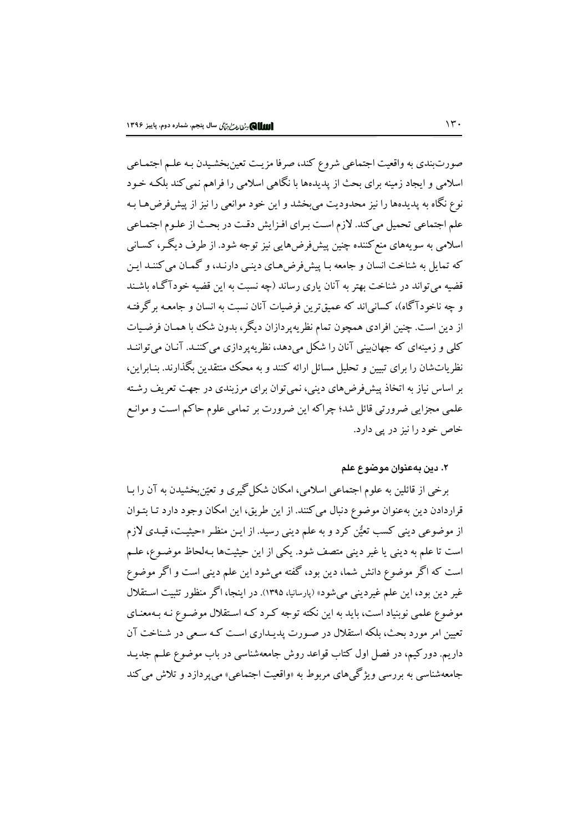صورتبندي به واقعيت اجتماعي شروع كند، صرفا مزيت تعين بخشـيدن بـه علـم اجتمـاعي اسلامی و ایجاد زمینه برای بحث از پدیدهها با نگاهی اسلامی را فراهم نمی کند بلکـه خـود .<br>نوع نگاه به پدیدهها را نیز محدودیت میبخشد و این خود موانعی را نیز از پیش فرضهـا بـه علم اجتماعی تحمیل می کند. لازم است برای افـزایش دقـت در بحـث از علـوم اجتمـاعی اسلامی به سویههای منع کننده چنین پیش فرضهایی نیز توجه شود. از طرف دیگـر، کســانی که تمایل به شناخت انسان و جامعه بـا پیش فرض هـای دینـی دارنـد، و گمـان می کننـد ایـن قضیه میتواند در شناخت بهتر به آنان یاری رساند (چه نسبت به این قضیه خودآگـاه باشـند و چه ناخودآگاه)، کسانی اند که عمیقترین فرضیات آنان نسبت به انسان و جامعـه برگرفتـه از دین است. چنین افرادی همچون تمام نظریهپردازان دیگر، بدون شک با همـان فرضـیات کلی و زمینهای که جهان بنی آنان را شکل می دهد، نظر په پر دازی می کننـد. آنـان می تواننـد نظریاتشان را برای تبیین و تحلیل مسائل ارائه کنند و به محک منتقدین بگذارند. بنـابراین، بر اساس نیاز به اتخاذ پیشفرضهای دینی، نمیتوان برای مرزبندی در جهت تعریف رشته علمي مجزايي ضرورتي قائل شد؛ چراكه اين ضرورت بر تمامي علوم حاكم است و موانـع خاص خود را نیز در یی دارد.

#### ٢. دين بهعنوان موضوع علم

برخی از قائلین به علوم اجتماعی اسلامی، امکان شکل گیری و تعیّن بخشیدن به آن را سا قراردادن دین بهعنوان موضوع دنبال می کنند. از این طریق، این امکان وجود دارد تـا بتـوان از موضوعی دینی کسب تعیُّن کرد و به علم دینی رسید. از ایـن منظـر «حیثیـت، قیـدی لازم است تا علم به دینی یا غیر دینی متصف شود. یکی از این حیثیتها بـهلحاظ موضـوع، علـم است که اگر موضوع دانش شما، دین بود، گفته میشود این علم دینی است و اگر موضوع غیر دین بود، این علم غیردینی میشود» (بارسانیا، ۱۳۹۵). در اینجا، اگر منظور تثبیت استقلال موضوع علمی نوبنیاد است، باید به این نکته توجه کـرد کـه اسـتقلال موضـوع نـه بـهمعنـای تعیین امر مورد بحث، بلکه استقلال در صورت پدیـداری اسـت کـه سـعی در شـناخت آن داریم. دورکیم، در فصل اول کتاب قواعد روش جامعهشناسی در باب موضوع علـم جدیـد جامعهشناسي به بررسي ويژگيهاي مربوط به «واقعيت اجتماعي» مي پردازد و تلاش مي كند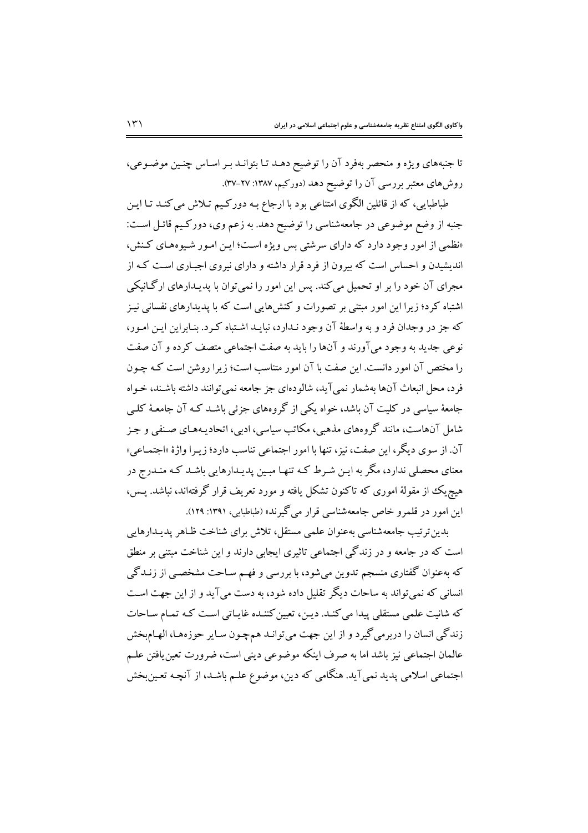تا جنبههای ویژه و منحصر بهفرد آن را توضیح دهـد تـا بتوانـد بـر اسـاس چنـین موضـوعی، روشهای معتبر بررسی آن را توضیح دهد (دورکیم، ۱۳۸۷: ۲۷-۳۷).

طباطبایی، که از قائلین الگوی امتناعی بود با ارجاع بـه دورکـیم تـلاش میکنـد تـا ایـن جنبه از وضع موضوعی در جامعهشناسی را توضیح دهد. به زعم وی، دورکیم قائـل اسـت: «نظمی از امور وجود دارد که دارای سرشتی بس ویژه است؛ این امبور شبوههای کنش، اندیشیدن و احساس است که بیرون از فرد قرار داشته و دارای نیروی اجباری است کـه از مجرای آن خود را بر او تحمیل می کند. پس این امور را نمی توان با پدیـدارهای ارگـانیکی اشتباه کرد؛ زیرا این امور مبتنی بر تصورات و کنشهایی است که با پدیدارهای نفسانی نیـز که جز در وجدان فرد و به واسطهٔ آن وجود نـدارد، نبایـد اشـتباه کـرد. بنـابراین ایـن امـور، .<br>نوعي جديد به وجود مي آورند و آنها را بايد به صفت اجتماعي متصف كرده و آن صفت را مختص آن امور دانست. این صفت با آن امور متناسب است؛ زیرا روشن است کـه چـون فرد، محل انبعاث آنها بهشمار نمي آيد، شالودهاي جز جامعه نمي توانند داشته باشـند، خـواه ۔<br>جامعۂ سیاسی در کلیت آن باشد، خواہ یکی از گروہھای جزئی باشـد کـه آن جامعـۂ کلـی شامل آنهاست، مانند گروههای مذهبی، مکاتب سیاسی، ادبی، اتحادیـههـای صـنفی و جـز آن. از سوی دیگر، این صفت، نیز، تنها با امور اجتماعی تناسب دارد؛ زیـرا واژهٔ «اجتمـاعی» معنای محصلی ندارد، مگر به ایـن شـرط کـه تنهـا مبـین پدیـدارهایی باشـد کـه منـدرج در هیچ یک از مقولهٔ اموری که تاکنون تشکل یافته و مورد تعریف قرار گرفتهاند، نباشد. پـس، این امور در قلمرو خاص جامعهشناسی قرار می گیرند» (طباطبایی، ۱۳۹۱: ۱۲۹).

بدین تر تیب جامعهشناسی بهعنوان علمی مستقل، تلاش برای شناخت ظـاهر پدیـدارهایی است که در جامعه و در زندگی اجتماعی تاثیری ایجابی دارند و این شناخت مبتنی بر منطق که بهعنوان گفتاری منسجم تدوین میشود، با بررسی و فهـم سـاحت مشخصـی از زنـدگی انسانی که نمی تواند به ساحات دیگر تقلیل داده شود، به دست میآید و از این جهت است که شانیت علمی مستقلی پیدا می کنـد. دیـن، تعیین کننـده غایـاتی اسـت کـه تمـام سـاحات زندگی انسان را دربرمیگیرد و از این جهت میتوانـد همچـون سـایر حوزههـا، الهـام.بخش عالمان اجتماعی نیز باشد اما به صرف اینکه موضوعی دینی است، ضرورت تعین یافتن علـم اجتماعی اسلامی پدید نمیآید. هنگامی که دین، موضوع علـم باشـد، از آنچـه تعـینبخش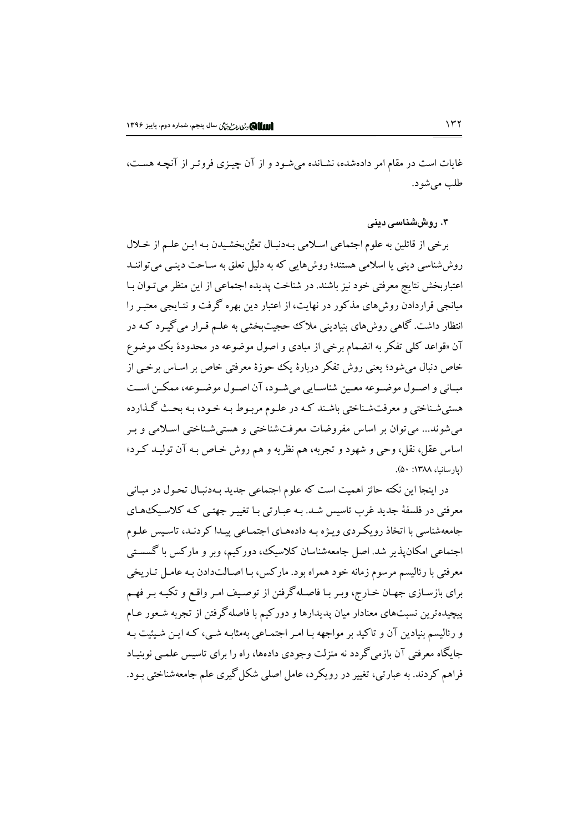غایات است در مقام امر دادهشده، نشـانده می شـود و از آن چیـزی فروتـر از آنچـه هسـت، طلب مي شو د.

۳. روششناسی دینی

برخي از قائلين به علوم اجتماعي اسلامي بـهدنبـال تعيُّن بخشـيدن بـه ايـن علـم از خـلال روششناسی دینی یا اسلامی هستند؛ روش هایی که به دلیل تعلق به سـاحت دینـی می تواننـد اعتباربخش نتایج معرفتی خود نیز باشند. در شناخت پدیده اجتماعی از این منظر می تـوان بـا میانجی قراردادن روش،های مذکور در نهایت، از اعتبار دین بهره گرفت و نتـایجی معتبـر را انتظار داشت. گاهی روشهای بنیادینی ملاک حجیتبخشی به علـم قـرار می گیـرد کـه در آن «قواعد کلمی تفکر به انضمام برخی از مبادی و اصول موضوعه در محدودهٔ یک موضوع خاص دنبال می شود؛ یعنی روش تفکر دربارهٔ یک حوزهٔ معرفتی خاص بر اسـاس برخـی از مبـاني و اصـول موضـوعه معـين شناسـايي ميشـود، آن اصـول موضـوعه، ممكـن اسـت هستي شـناختي و معرفتشـناختي باشـند كـه در علـوم مربـوط بـه خـود، بـه بحـث گـذارده مي شوند... مي توان بر اساس مفروضات معرفت شناختي و هستي شـناختي اسـلامي و بـر اساس عقل، نقل، وحي و شهود و تجربه، هم نظريه و هم روش خـاص بـه آن توليـد كـرد» (يارسانيا، ١٣٨٨: ٥٠).

در اینجا این نکته حائز اهمیت است که علوم اجتماعی جدید بـهدنبـال تحـول در مبـانی معرفتی در فلسفهٔ جدید غرب تاسیس شـد. بـه عبـارتی بـا تغییـر جهتـی کـه کلاسـیکـُهـای جامعهشناسی با اتخاذ رویکردی ویـژه بـه دادههـای اجتمـاعی پیـدا کردنـد، تاسـیس علـوم اجتماعی امکان پذیر شد. اصل جامعهشناسان کلاسیک، دورکیم، وبر و مارکس با گسستی معرفتی با رئالیسم مرسوم زمانه خود همراه بود. مارکس، بـا اصـالـتدادن بـه عامـل تـاریخی برای بازسـازی جهـان خـارج، وبـر بـا فاصـلهگرفتن از توصـيف امـر واقـع و تكيـه بـر فهـم پیچیدهترین نسبتهای معنادار میان پدیدارها و دورکیم با فاصلهگرفتن از تجربه شـعور عـام و رئالیسم بنیادین آن و تاکید بر مواجهه بـا امـر اجتمـاعی بهمثابـه شـی، کـه ایـن شـیئیت بـه جایگاه معرفتی آن بازمی گردد نه منزلت وجودی دادهها، راه را برای تاسیس علمـی نوبنیـاد فراهم کردند. به عبارتی، تغییر در رویکرد، عامل اصلی شکل گیری علم جامعهشناختی بـود.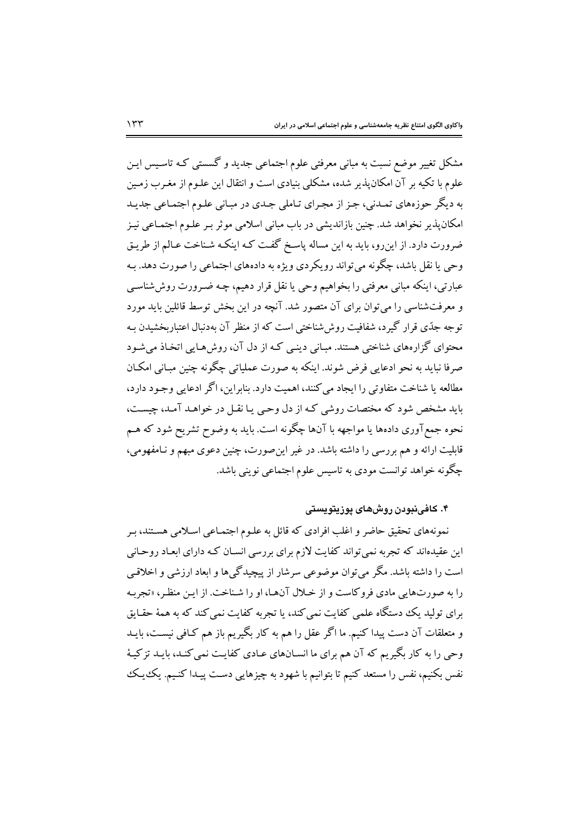مشکل تغییر موضع نسبت به مبانی معرفتی علوم اجتماعی جدید و گسستی کـه تاسـیس ایـن علوم با تکیه بر آن امکان پذیر شده، مشکلی بنیادی است و انتقال این علـوم از مغـرب زمـین به دیگر حوزههای تمـدنی، جـز از مجـرای تـاملی جـدی در مبـانی علـوم اجتمـاعی جدیـد امکان پذیر نخواهد شد. چنین بازاندیشی در باب مبانی اسلامی موثر بـر علـوم اجتمـاعی نیـز ضرورت دارد. از این رو، باید به این مساله پاسخ گفت کـه اینکـه شـناخت عـالم از طریـق وحي يا نقل باشد، چگونه مي تواند رويكردي ويژه به دادههاي اجتماعي را صورت دهد. بـه عبارتي، اينكه مباني معرفتي را بخواهيم وحي يا نقل قرار دهيم، چـه ضـرورت روش شناسـي و معرفتشناسی را می توان برای آن متصور شد. آنچه در این بخش توسط قائلین باید مورد توجه جدّی قرار گیرد، شفافیت روش شناختی است که از منظر آن بهدنبال اعتباربخشیدن بـه محتوای گزارههای شناختی هستند. مبـانی دینـی کـه از دل آن، روشهـایی اتخـاذ می شـود صرفا نباید به نحو ادعایی فرض شوند. اینکه به صورت عملیاتی چگونه چنین مبـانی امکـان مطالعه یا شناخت متفاوتی را ایجاد می کنند، اهمیت دارد. بنابراین، اگر ادعایی وجـود دارد، .<br>باید مشخص شود که مختصات روشی کـه از دل وحـی یـا نقـل در خواهـد آمـد، چیسـت، نحوه جمع آوري دادهها يا مواجهه با آنها چگونه است. بايد به وضوح تشريح شود كه هــم قابلیت ارائه و هم بررسی را داشته باشد. در غیر این صورت، چنین دعوی مبهم و نـامفهومی، چگونه خواهد توانست مودي به تاسيس علوم اجتماعي نويني باشد.

## ۴. کافینبودن روشهای پوزیتویستی

نمونههای تحقیق حاضر و اغلب افرادی که قائل به علـوم اجتمـاعی اسـلامی هسـتند، بـر این عقیدهاند که تجربه نمیتواند کفایت لازم برای بررسی انسـان کـه دارای ابعـاد روحـانی است را داشته باشد. مگر می توان موضوعی سرشار از پیچیدگیها و ابعاد ارزشی و اخلاقبی را به صورتهایی مادی فروکاست و از خـلال آنهـا، او را شـناخت. از ایـن منظـر، «تجربـه برای تولید یک دستگاه علمی کفایت نمی کند، با تجربه کفایت نمی کند که به همهٔ حقیایق و متعلقات آن دست پیدا کنیم. ما اگر عقل را هم به کار بگیریم باز هم کـافی نیسـت، بایـد وحی را به کار بگیریم که آن هم برای ما انسـانهای عـادی کفایـت نمی کنـد، بایـد تزکیـهٔ نفس بکنیم، نفس را مستعد کنیم تا بتوانیم با شهود به چیزهایی دست پیـدا کنـیـم. یکـُیـک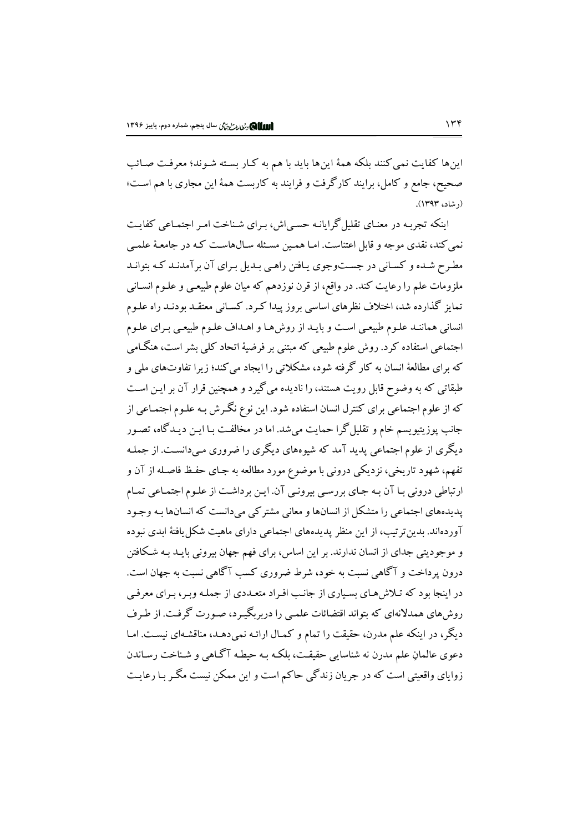اینها کفایت نمی کنند بلکه همهٔ اینها باید با هم به کـار بسـته شـوند؛ معرفـت صـائب صحیح، جامع و کامل، برایند کارگرفت و فرایند به کاربست همهٔ این مجاری با هم است» (, شاد، ۱۳۹۳).

اینکه تجربه در معنای تقلیل گرایانـه حسبی اش، بـرای شـناخت امـر اجتمـاعی کفایـت نمی کند، نقدی موجه و قابل اعتناست. امـا همـین مسـئله سـالهاسـت کـه در جامعـهٔ علمـی مطرح شده و کسانی در جستوجوی یافتن راهبی بـدیل بـرای آن بر آمدنـد کـه بتوانـد ملزومات علم را رعایت کند. در واقع، از قرن نوزدهم که میان علوم طبیعـی و علـوم انسـانـی تمایز گذارده شد، اختلاف نظرهای اساسی بروز پیدا کـرد. کسـانی معتقـد بودنـد راه علـوم انسانی هماننـد علـوم طبیعـی اسـت و بایـد از روشهـا و اهـداف علـوم طبیعـی بـرای علـوم اجتماعی استفاده کرد. روش علوم طبیعی که مبتنی بر فرضیهٔ اتحاد کلی بشر است، هنگـامی که برای مطالعهٔ انسان به کار گرفته شود، مشکلاتی را ایجاد می کند؛ زیرا تفاوتهای ملی و طبقاتی که به وضوح قابل رویت هستند، را نادیده می گیرد و همچنین قرار آن بر ایـن اسـت که از علوم اجتماعی برای کنترل انسان استفاده شود. این نوع نگـرش بـه علـوم اجتمـاعی از جانب پوزیتیویسم خام و تقلیل گرا حمایت میشد. اما در مخالفت بـا ایـن دیـدگاه، تصـور دیگری از علوم اجتماعی پدید آمد که شیوههای دیگری را ضروری مـیدانسـت. از جملـه تفهم، شهود تاریخی، نزدیکی درونی با موضوع مورد مطالعه به جـای حفـظ فاصـله از آن و ارتباطی درونی با آن به جای بررسی بیرونی آن. این برداشت از علوم اجتماعی تمام پدیدههای اجتماعی را متشکل از انسانها و معانی مشترکی میدانست که انسانها بـه وجـود آوردهاند. بدین ترتیب، از این منظر پدیدههای اجتماعی دارای ماهیت شکل یافتهٔ ابدی نبوده و موجودیتی جدای از انسان ندارند. بر این اساس، برای فهم جهان بیرونی بایـد بـه شـکافتن درون پرداخت و آگاهی نسبت به خود، شرط ضروری کسب آگاهی نسبت به جهان است. در اینجا بود که تـلاش،هـاي بسـیاري از جانـب افـراد متعـددي از جملـه وبـر، بـراي معرفـي روشهای همدلانهای که بتواند اقتضائات علمی را دربربگیرد، صورت گرفت. از طرف دیگر، در اینکه علم مدرن، حقیقت را تمام و کمـال ارائـه نمی دهـد، مناقشـهای نیسـت. امـا دعوي عالمانِ علم مدرن نه شناسايي حقيقت، بلكـه بـه حيطـه آگـاهي و شـناخت رسـاندن زوایای واقعیتی است که در جریان زندگی حاکم است و این ممکن نیست مگـر بـا رعایـت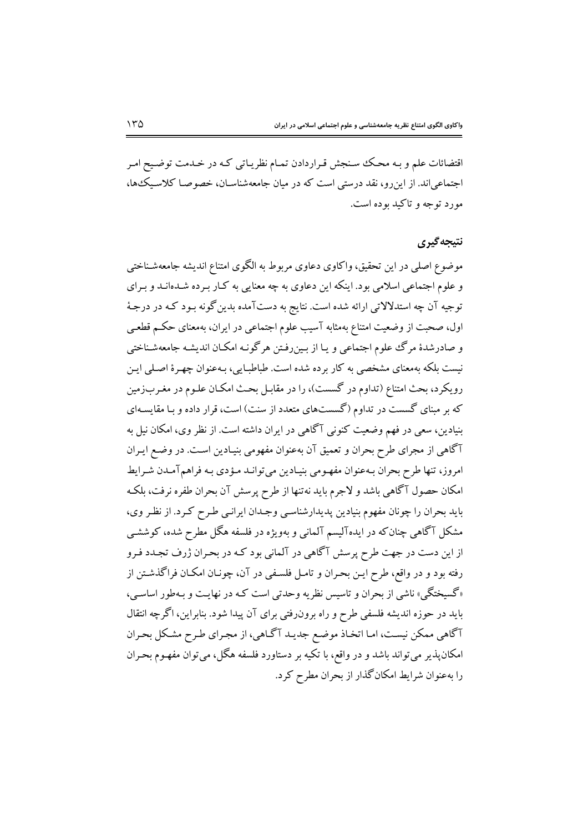اقتضائات علم و بـه محـك سـنجش قـراردادن تمـام نظريـاتي كـه در خـدمت توضـيح امـر اجتماعی اند. از این رو، نقد درستی است که در میان جامعهشناسـان، خصوصـا کلاسـیک،ها، مورد توجه و تاکید بوده است.

#### نتيجه گيري

موضوع اصلي در اين تحقيق، واكاوي دعاوي مربوط به الگوي امتناع انديشه جامعهشـناختي و علوم اجتماعی اسلامی بود. اینکه این دعاوی به چه معنایی به کـار بـرده شـدهانـد و بـرای توجیه آن چه استدلالاتی ارائه شده است. نتایج به دستآمده بدین گونه بـود کـه در درجـهٔ اول، صحبت از وضعیت امتناع بهمثابه آسیب علوم اجتماعی در ایران، بهمعنای حکـم قطعـی و صادرشدهٔ مرگ علوم اجتماعی و یـا از بـینِ رفـتن هرگونـه امکـان اندیشـه جامعهشـناختی نیست بلکه بهمعنای مشخصی به کار برده شده است. طباطبایی، بـهعنوان چهـرهٔ اصـلی ایـن رویکرد، بحث امتناع (تداوم در گسست)، را در مقابـل بحـث امکـان علـوم در مغـربزمین که بر مبنای گسست در تداوم (گسستهای متعدد از سنت) است، قرار داده و بـا مقایسـهای بنیادین، سعی در فهم وضعیت کنونی آگاهی در ایران داشته است. از نظر وی، امکان نیل به آگاهی از مجرای طرح بحران و تعمیق آن بهعنوان مفهومی بنیـادین اسـت. در وضـع ایـران امروز، تنها طرح بحران بـهعنوان مفهـومي بنيـادين مي توانـد مـؤدي بـه فراهم آمـدن شـرايط امکان حصول آگاهی باشد و لاجرم باید نه تنها از طرح پرسش آن بحران طفره نرفت، بلکه باید بحران را چونان مفهوم بنیادین پدیدارشناسبی وجـدان ایرانـی طـرح کـرد. از نظـر وی، مشکل آگاهی چنان که در ایدهآلیسم آلمانی و بهویژه در فلسفه هگل مطرح شده، کوششـی از این دست در جهت طرح پرسش آگاهی در آلمانی بود کـه در بحـران ژرف تجـدد فـرو رفته بود و در واقع، طرح ايـن بحـران و تامـل فلسـفي در آن، چونـان امكـان فراگذشـتن از «گسیختگی» ناشی از بحران و تاسیس نظریه وحدتی است کـه در نهایـت و بـهطور اساسـی، باید در حوزه اندیشه فلسفی طرح و راه برون(فتی برای آن پیدا شود. بنابراین، اگرچه انتقال آگاهی ممکن نیست، اما اتخاذ موضع جدید آگاهی، از مجرای طرح مشکل بحران امکان پذیر می تواند باشد و در واقع، با تکیه بر دستاورد فلسفه هگل، می توان مفهـوم بحـران را بهعنوان شرایط امکانگذار از بحران مطرح کرد.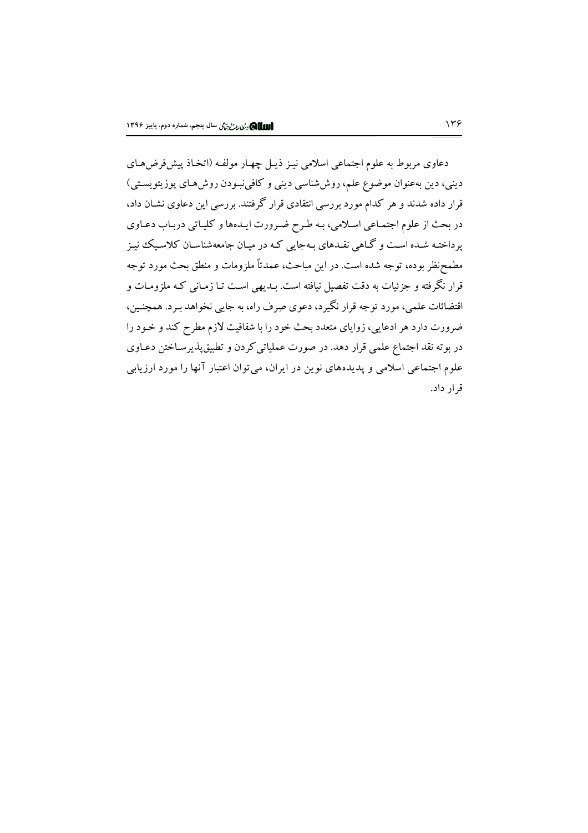دعاوی مربوط به علوم اجتماعی اسلامی نیـز ذیـل چهـار مولفـه (اتخـاذ پیشفرضهـای دینی، دین بهعنوان موضوع علم، روششناسی دینی و کافینبودن روشهای پوزیتویستی) قرار داده شدند و هر کدام مورد بررسی انتقادی قرار گرفتند. بررسی این دعاوی نشـان داد، در بحث از علوم اجتمـاعي اسـلامي، بـه طـرح ضـرورت ايـدهها و كليـاتي دربـاب دعـاوي یرداختـه شـده اسـت و گـاهي نقـدهاي بـهجايي كـه در ميـان جامعهشناسـان كلاسـيك نيـز مطمحنظر بوده، توجه شده است. در این مباحث، عمدتاً ملزومات و منطق بحث مورد توجه قرار نگرفته و جزئیات به دقت تفصیل نیافته است. بـدیهی اسـت تـا زمـانی کـه ملزومـات و اقتضائات علمي، مورد توجه قرار نگيرد، دعوي صِرف راه، به جايبي نخواهد بـرد. همچنـين، ضرورت دارد هر ادعایی، زوایای متعدد بحث خود را با شفافیت لازم مطرح کند و خـود را در بوته نقد اجتماع علمی قرار دهد. در صورت عملیاتی کردن و تطبیقپذیرسـاختن دعـاوی علوم اجتماعی اسلامی و پدیدههای نوین در ایران، می توان اعتبار آنها را مورد ارزیابی قرار داد.